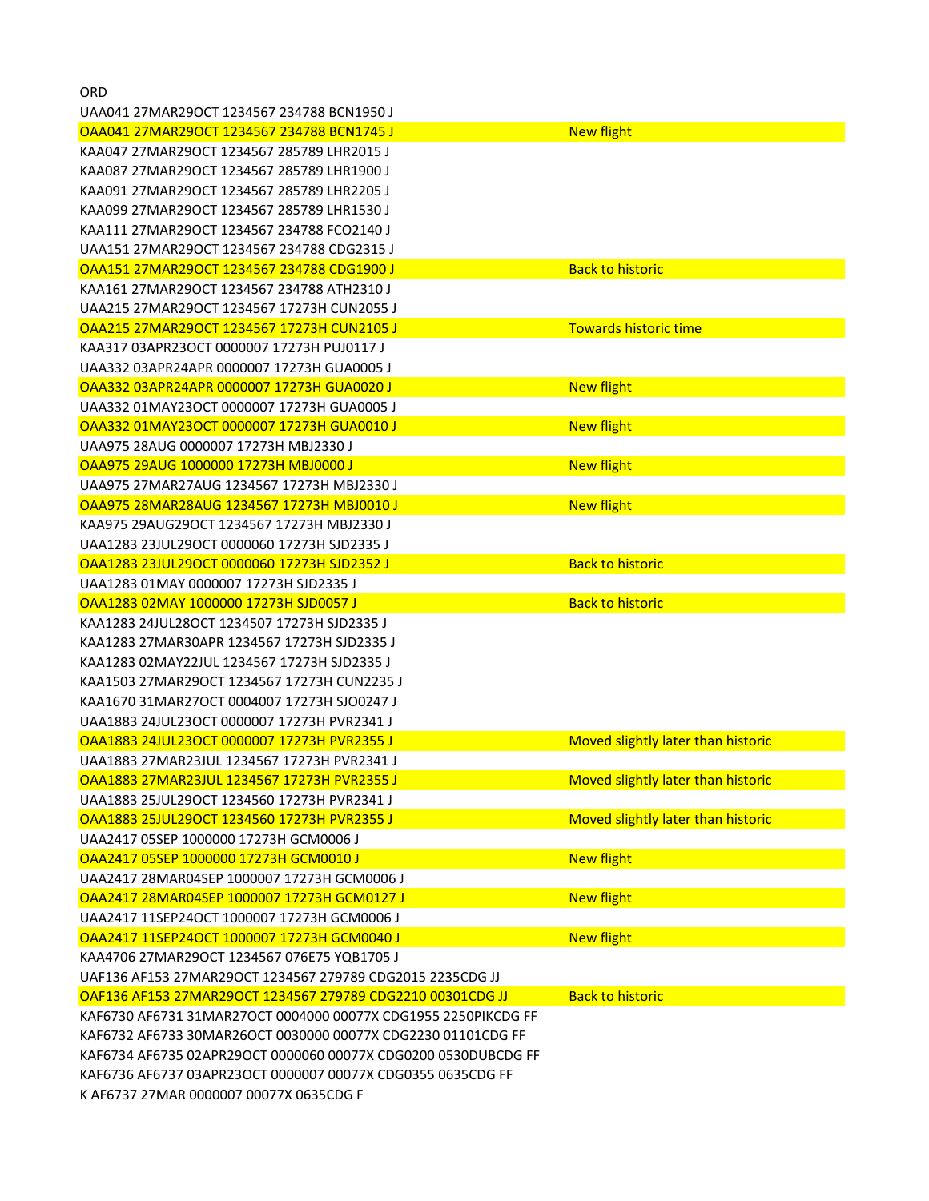UAA041 27MAR29OCT 1234567 234788 BCN1950 J OAA041 27MAR29OCT 1234567 234788 BCN1745 J New flight KAA047 27MAR29OCT 1234567 285789 LHR2015 J KAA087 27MAR29OCT 1234567 285789 LHR1900 J KAA091 27MAR29OCT 1234567 285789 LHR2205 J KAA099 27MAR29OCT 1234567 285789 LHR1530 J KAA111 27MAR29OCT 1234567 234788 FCO2140 J UAA151 27MAR29OCT 1234567 234788 CDG2315 J OAA151 27MAR29OCT 1234567 234788 CDG1900 J Back to historic KAA161 27MAR29OCT 1234567 234788 ATH2310 J UAA215 27MAR29OCT 1234567 17273H CUN2055 J OAA215 27MAR29OCT 1234567 17273H CUN2105 J Towards historic time KAA317 03APR23OCT 0000007 17273H PUJ0117 J UAA332 03APR24APR 0000007 17273H GUA0005 J OAA332 03APR24APR 0000007 17273H GUA0020 J New flight UAA332 01MAY23OCT 0000007 17273H GUA0005 J OAA332 01MAY23OCT 0000007 17273H GUA0010 J New flight UAA975 28AUG 0000007 17273H MBJ2330 J OAA975 29AUG 1000000 17273H MBJ0000 J New flight UAA975 27MAR27AUG 1234567 17273H MBJ2330 J OAA975 28MAR28AUG 1234567 17273H MBJ0010 J New flight KAA975 29AUG29OCT 1234567 17273H MBJ2330 J UAA1283 23JUL29OCT 0000060 17273H SJD2335 J OAA1283 23JUL29OCT 0000060 17273H SJD2352 J Back to historic UAA1283 01MAY 0000007 17273H SJD2335 J OAA1283 02MAY 1000000 17273H SJD0057 J Back to historic KAA1283 24JUL28OCT 1234507 17273H SJD2335 J KAA1283 27MAR30APR 1234567 17273H SJD2335 J KAA1283 02MAY22JUL 1234567 17273H SJD2335 J KAA1503 27MAR29OCT 1234567 17273H CUN2235 J KAA1670 31MAR27OCT 0004007 17273H SJO0247 J UAA1883 24JUL23OCT 0000007 17273H PVR2341 J OAA1883 24JUL23OCT 0000007 17273H PVR2355 J Moved slightly later than historic UAA1883 27MAR23JUL 1234567 17273H PVR2341 J OAA1883 27MAR23JUL 1234567 17273H PVR2355 J Moved slightly later than historic UAA1883 25JUL29OCT 1234560 17273H PVR2341 J OAA1883 25JUL29OCT 1234560 17273H PVR2355 J Moved slightly later than historic UAA2417 05SEP 1000000 17273H GCM0006 J OAA2417 05SEP 1000000 17273H GCM0010 J New flight UAA2417 28MAR04SEP 1000007 17273H GCM0006 J OAA2417 28MAR04SEP 1000007 17273H GCM0127 J New flight UAA2417 11SEP24OCT 1000007 17273H GCM0006 J OAA2417 11SEP24OCT 1000007 17273H GCM0040 J New flight KAA4706 27MAR29OCT 1234567 076E75 YQB1705 J UAF136 AF153 27MAR29OCT 1234567 279789 CDG2015 2235CDG JJ OAF136 AF153 27MAR29OCT 1234567 279789 CDG2210 00301CDG JJ Back to historic KAF6730 AF6731 31MAR27OCT 0004000 00077X CDG1955 2250PIKCDG FF KAF6732 AF6733 30MAR26OCT 0030000 00077X CDG2230 01101CDG FF KAF6734 AF6735 02APR29OCT 0000060 00077X CDG0200 0530DUBCDG FF KAF6736 AF6737 03APR23OCT 0000007 00077X CDG0355 0635CDG FF K AF6737 27MAR 0000007 00077X 0635CDG F

**ORD**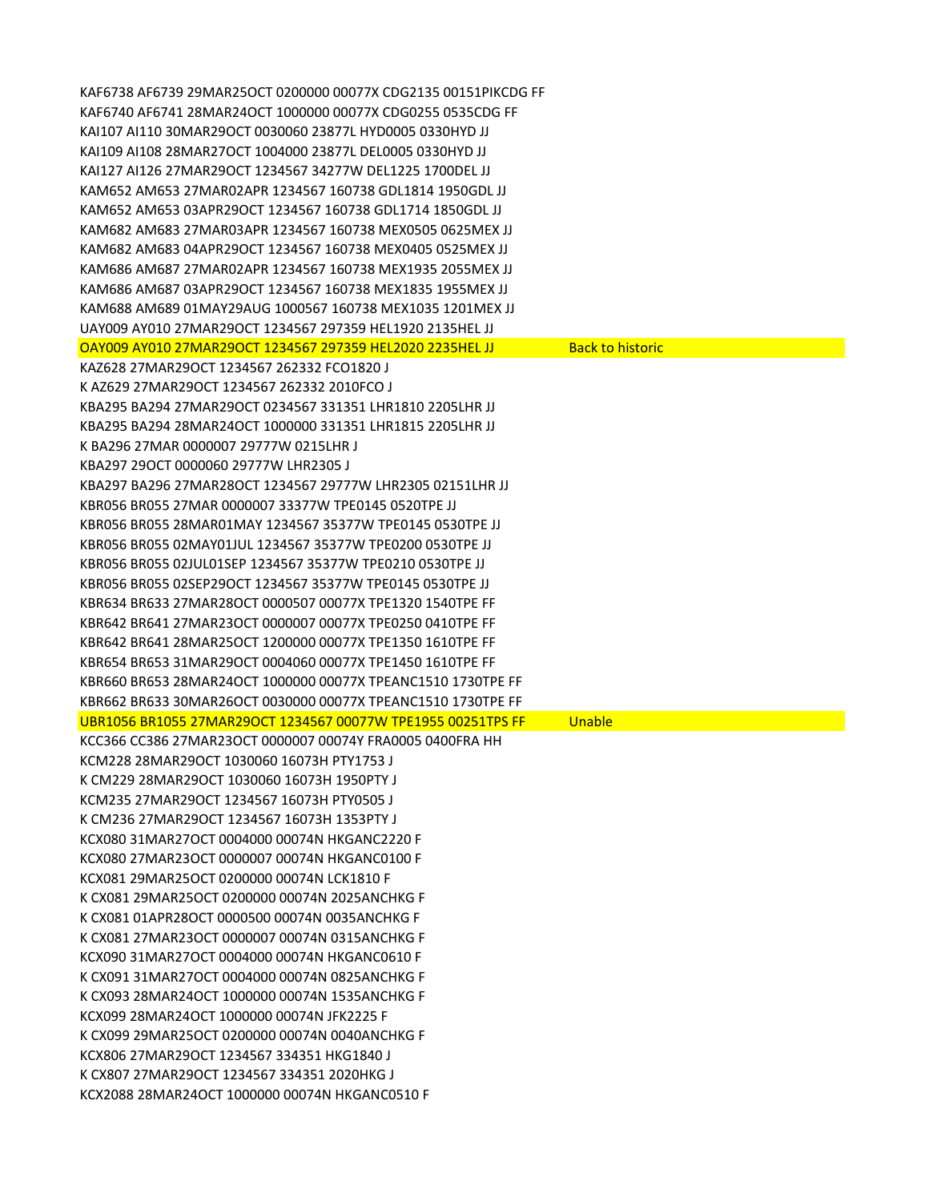KAF6738 AF6739 29MAR25OCT 0200000 00077X CDG2135 00151PIKCDG FF KAF6740 AF6741 28MAR24OCT 1000000 00077X CDG0255 0535CDG FF KAI107 AI110 30MAR29OCT 0030060 23877L HYD0005 0330HYD JJ KAI109 AI108 28MAR27OCT 1004000 23877L DEL0005 0330HYD JJ KAI127 AI126 27MAR29OCT 1234567 34277W DEL1225 1700DEL JJ KAM652 AM653 27MAR02APR 1234567 160738 GDL1814 1950GDL JJ KAM652 AM653 03APR29OCT 1234567 160738 GDL1714 1850GDL JJ KAM682 AM683 27MAR03APR 1234567 160738 MEX0505 0625MEX JJ KAM682 AM683 04APR29OCT 1234567 160738 MEX0405 0525MEX JJ KAM686 AM687 27MAR02APR 1234567 160738 MEX1935 2055MEX JJ KAM686 AM687 03APR29OCT 1234567 160738 MEX1835 1955MEX JJ KAM688 AM689 01MAY29AUG 1000567 160738 MEX1035 1201MEX JJ UAY009 AY010 27MAR29OCT 1234567 297359 HEL1920 2135HEL JJ OAY009 AY010 27MAR29OCT 1234567 297359 HEL2020 2235HEL JJ Back to historic KAZ628 27MAR29OCT 1234567 262332 FCO1820 J K AZ629 27MAR29OCT 1234567 262332 2010FCO J KBA295 BA294 27MAR29OCT 0234567 331351 LHR1810 2205LHR JJ KBA295 BA294 28MAR24OCT 1000000 331351 LHR1815 2205LHR JJ K BA296 27MAR 0000007 29777W 0215LHR J KBA297 29OCT 0000060 29777W LHR2305 J KBA297 BA296 27MAR28OCT 1234567 29777W LHR2305 02151LHR JJ KBR056 BR055 27MAR 0000007 33377W TPE0145 0520TPE JJ KBR056 BR055 28MAR01MAY 1234567 35377W TPE0145 0530TPE JJ KBR056 BR055 02MAY01JUL 1234567 35377W TPE0200 0530TPE JJ KBR056 BR055 02JUL01SEP 1234567 35377W TPE0210 0530TPE JJ KBR056 BR055 02SEP29OCT 1234567 35377W TPE0145 0530TPE JJ KBR634 BR633 27MAR28OCT 0000507 00077X TPE1320 1540TPE FF KBR642 BR641 27MAR23OCT 0000007 00077X TPE0250 0410TPE FF KBR642 BR641 28MAR25OCT 1200000 00077X TPE1350 1610TPE FF KBR654 BR653 31MAR29OCT 0004060 00077X TPE1450 1610TPE FF KBR660 BR653 28MAR24OCT 1000000 00077X TPEANC1510 1730TPE FF KBR662 BR633 30MAR26OCT 0030000 00077X TPEANC1510 1730TPE FF UBR1056 BR1055 27MAR29OCT 1234567 00077W TPE1955 00251TPS FF Unable KCC366 CC386 27MAR23OCT 0000007 00074Y FRA0005 0400FRA HH KCM228 28MAR29OCT 1030060 16073H PTY1753 J K CM229 28MAR29OCT 1030060 16073H 1950PTY J KCM235 27MAR29OCT 1234567 16073H PTY0505 J K CM236 27MAR29OCT 1234567 16073H 1353PTY J KCX080 31MAR27OCT 0004000 00074N HKGANC2220 F KCX080 27MAR23OCT 0000007 00074N HKGANC0100 F KCX081 29MAR25OCT 0200000 00074N LCK1810 F K CX081 29MAR25OCT 0200000 00074N 2025ANCHKG F K CX081 01APR28OCT 0000500 00074N 0035ANCHKG F K CX081 27MAR23OCT 0000007 00074N 0315ANCHKG F KCX090 31MAR27OCT 0004000 00074N HKGANC0610 F K CX091 31MAR27OCT 0004000 00074N 0825ANCHKG F K CX093 28MAR24OCT 1000000 00074N 1535ANCHKG F KCX099 28MAR24OCT 1000000 00074N JFK2225 F K CX099 29MAR25OCT 0200000 00074N 0040ANCHKG F KCX806 27MAR29OCT 1234567 334351 HKG1840 J K CX807 27MAR29OCT 1234567 334351 2020HKG J KCX2088 28MAR24OCT 1000000 00074N HKGANC0510 F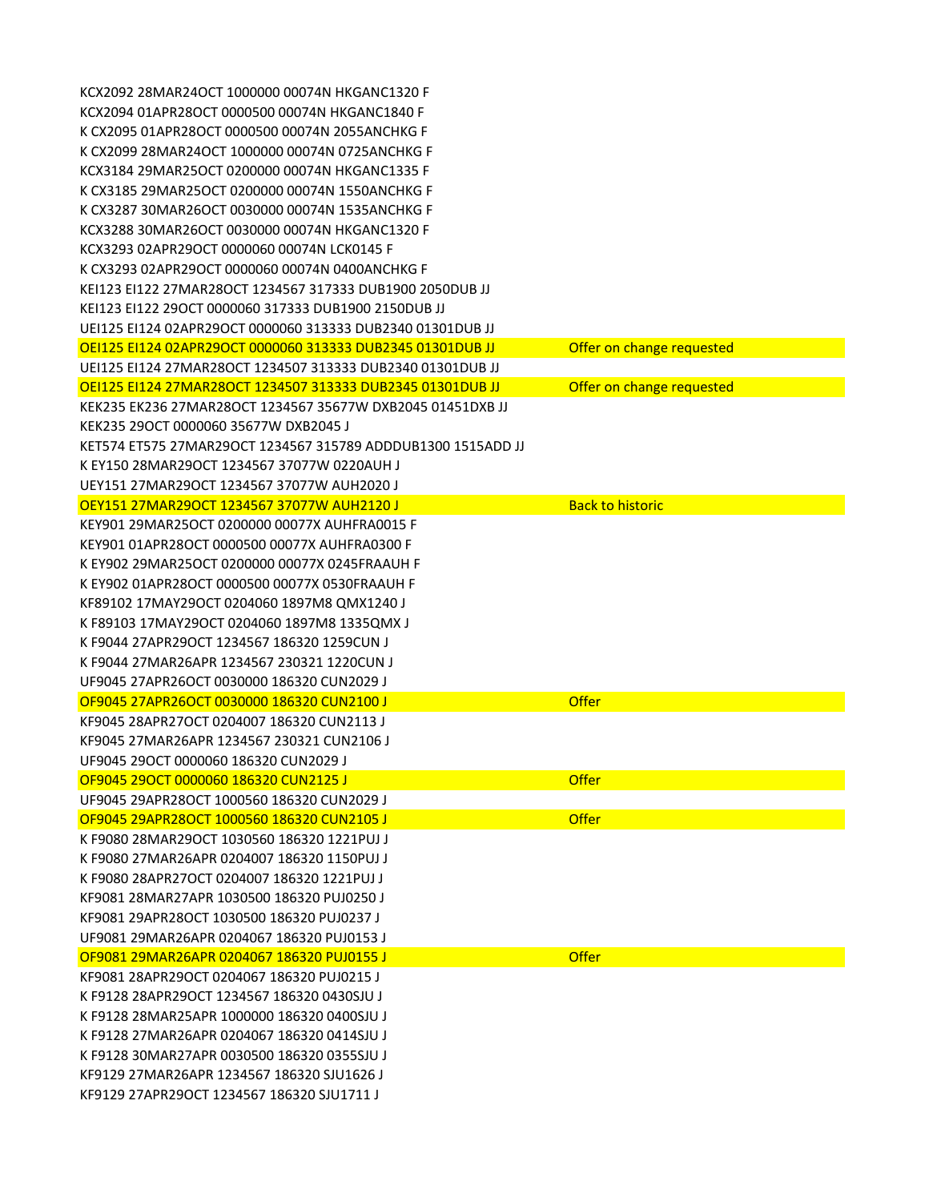| KCX2092 28MAR24OCT 1000000 00074N HKGANC1320 F               |                           |
|--------------------------------------------------------------|---------------------------|
| KCX2094 01APR28OCT 0000500 00074N HKGANC1840 F               |                           |
| K CX2095 01APR28OCT 0000500 00074N 2055ANCHKG F              |                           |
| K CX2099 28MAR24OCT 1000000 00074N 0725ANCHKG F              |                           |
| KCX3184 29MAR25OCT 0200000 00074N HKGANC1335 F               |                           |
| K CX3185 29MAR25OCT 0200000 00074N 1550ANCHKG F              |                           |
| K CX3287 30MAR26OCT 0030000 00074N 1535ANCHKG F              |                           |
| KCX3288 30MAR26OCT 0030000 00074N HKGANC1320 F               |                           |
| KCX3293 02APR29OCT 0000060 00074N LCK0145 F                  |                           |
| K CX3293 02APR29OCT 0000060 00074N 0400ANCHKG F              |                           |
| KEI123 EI122 27MAR28OCT 1234567 317333 DUB1900 2050DUB JJ    |                           |
| KEI123 EI122 29OCT 0000060 317333 DUB1900 2150DUB JJ         |                           |
| UEI125 EI124 02APR29OCT 0000060 313333 DUB2340 01301DUB JJ   |                           |
| OEI125 EI124 02APR29OCT 0000060 313333 DUB2345 01301DUB JJ   | Offer on change requested |
| UEI125 EI124 27MAR28OCT 1234507 313333 DUB2340 01301DUB JJ   |                           |
| OEI125 EI124 27MAR28OCT 1234507 313333 DUB2345 01301DUB JJ   | Offer on change requested |
| KEK235 EK236 27MAR28OCT 1234567 35677W DXB2045 01451DXB JJ   |                           |
| KEK235 29OCT 0000060 35677W DXB2045 J                        |                           |
| KET574 ET575 27MAR29OCT 1234567 315789 ADDDUB1300 1515ADD JJ |                           |
| K EY150 28MAR29OCT 1234567 37077W 0220AUH J                  |                           |
| UEY151 27MAR29OCT 1234567 37077W AUH2020 J                   |                           |
| <b>OEY151 27MAR29OCT 1234567 37077W AUH2120 J</b>            | <b>Back to historic</b>   |
| KEY901 29MAR25OCT 0200000 00077X AUHFRA0015 F                |                           |
| KEY901 01APR28OCT 0000500 00077X AUHFRA0300 F                |                           |
| K EY902 29MAR25OCT 0200000 00077X 0245FRAAUH F               |                           |
| K EY902 01APR28OCT 0000500 00077X 0530FRAAUH F               |                           |
| KF89102 17MAY29OCT 0204060 1897M8 QMX1240 J                  |                           |
| K F89103 17MAY29OCT 0204060 1897M8 1335QMX J                 |                           |
| K F9044 27APR29OCT 1234567 186320 1259CUN J                  |                           |
| K F9044 27MAR26APR 1234567 230321 1220CUN J                  |                           |
| UF9045 27APR26OCT 0030000 186320 CUN2029 J                   |                           |
| OF9045 27APR26OCT 0030000 186320 CUN2100 J                   | Offer                     |
| KF9045 28APR27OCT 0204007 186320 CUN2113 J                   |                           |
| KF9045 27MAR26APR 1234567 230321 CUN2106 J                   |                           |
| UF9045 29OCT 0000060 186320 CUN2029 J                        |                           |
| OF9045 29OCT 0000060 186320 CUN2125 J                        | <b>Offer</b>              |
| UF9045 29APR28OCT 1000560 186320 CUN2029 J                   |                           |
| OF9045 29APR28OCT 1000560 186320 CUN2105 J                   | <b>Offer</b>              |
| K F9080 28MAR29OCT 1030560 186320 1221PUJ J                  |                           |
| K F9080 27MAR26APR 0204007 186320 1150PUJ J                  |                           |
| K F9080 28APR27OCT 0204007 186320 1221PUJ J                  |                           |
| KF9081 28MAR27APR 1030500 186320 PUJ0250 J                   |                           |
| KF9081 29APR28OCT 1030500 186320 PUJ0237 J                   |                           |
| UF9081 29MAR26APR 0204067 186320 PUJ0153 J                   |                           |
| OF9081 29MAR26APR 0204067 186320 PUJ0155 J                   | <b>Offer</b>              |
| KF9081 28APR29OCT 0204067 186320 PUJ0215 J                   |                           |
| K F9128 28APR29OCT 1234567 186320 0430SJU J                  |                           |
| K F9128 28MAR25APR 1000000 186320 0400SJU J                  |                           |
| K F9128 27MAR26APR 0204067 186320 0414SJU J                  |                           |
| K F9128 30MAR27APR 0030500 186320 0355SJU J                  |                           |
| KF9129 27MAR26APR 1234567 186320 SJU1626 J                   |                           |
| KF9129 27APR29OCT 1234567 186320 SJU1711 J                   |                           |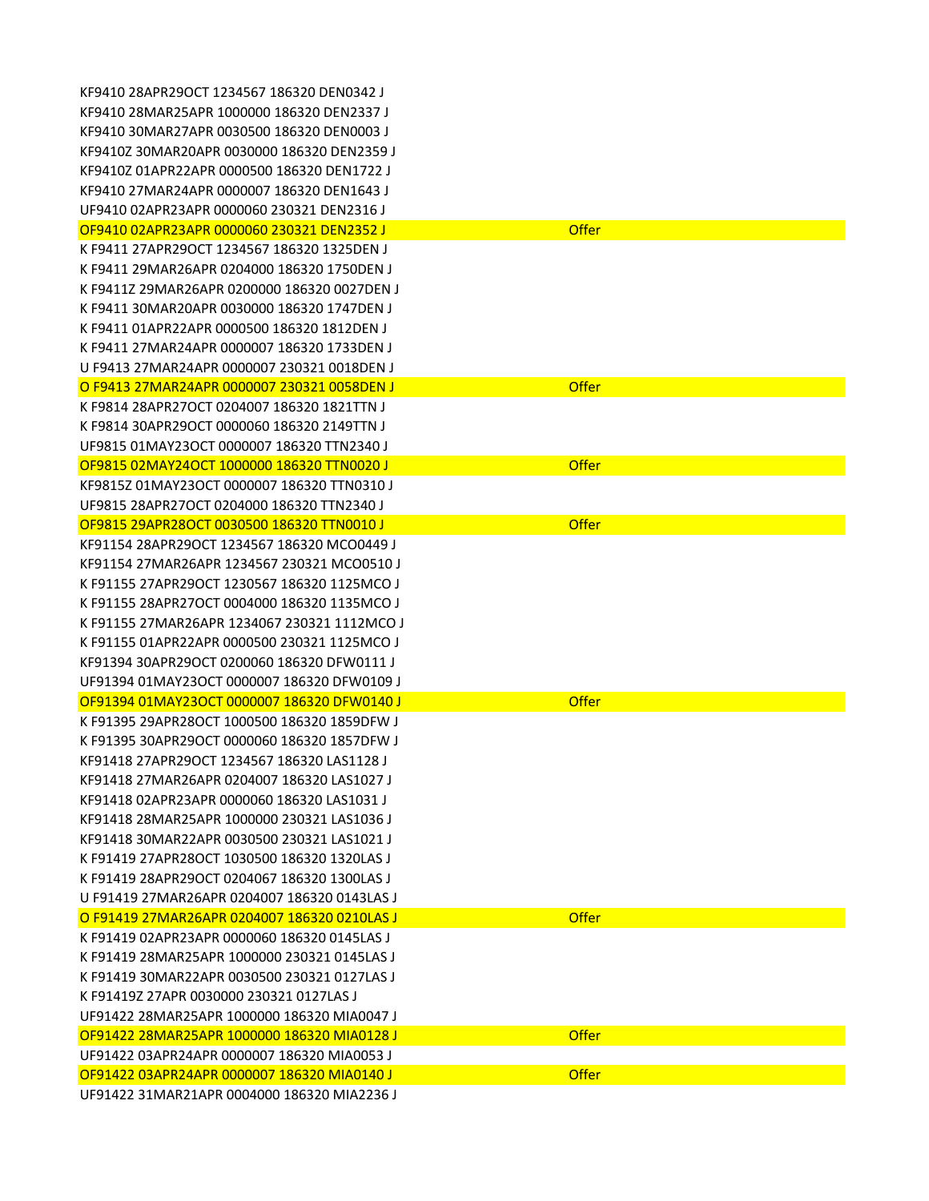| KF9410 28APR29OCT 1234567 186320 DEN0342 J   |              |
|----------------------------------------------|--------------|
| KF9410 28MAR25APR 1000000 186320 DEN2337 J   |              |
| KF9410 30MAR27APR 0030500 186320 DEN0003 J   |              |
| KF9410Z 30MAR20APR 0030000 186320 DEN2359 J  |              |
| KF9410Z 01APR22APR 0000500 186320 DEN1722 J  |              |
| KF9410 27MAR24APR 0000007 186320 DEN1643 J   |              |
| UF9410 02APR23APR 0000060 230321 DEN2316 J   |              |
| OF9410 02APR23APR 0000060 230321 DEN2352 J   | <b>Offer</b> |
| K F9411 27APR29OCT 1234567 186320 1325DEN J  |              |
| K F9411 29MAR26APR 0204000 186320 1750DEN J  |              |
| K F9411Z 29MAR26APR 0200000 186320 0027DEN J |              |
| K F9411 30MAR20APR 0030000 186320 1747DEN J  |              |
| K F9411 01APR22APR 0000500 186320 1812DEN J  |              |
| K F9411 27MAR24APR 0000007 186320 1733DEN J  |              |
| U F9413 27MAR24APR 0000007 230321 0018DEN J  |              |
|                                              |              |
| O F9413 27MAR24APR 0000007 230321 0058DEN J  | <b>Offer</b> |
| K F9814 28APR27OCT 0204007 186320 1821TTN J  |              |
| K F9814 30APR29OCT 0000060 186320 2149TTN J  |              |
| UF9815 01MAY23OCT 0000007 186320 TTN2340 J   |              |
| OF9815 02MAY24OCT 1000000 186320 TTN0020 J   | <b>Offer</b> |
| KF9815Z 01MAY23OCT 0000007 186320 TTN0310 J  |              |
| UF9815 28APR27OCT 0204000 186320 TTN2340 J   |              |
| OF9815 29APR28OCT 0030500 186320 TTN0010 J   | <b>Offer</b> |
| KF91154 28APR29OCT 1234567 186320 MCO0449 J  |              |
| KF91154 27MAR26APR 1234567 230321 MCO0510 J  |              |
| K F91155 27APR29OCT 1230567 186320 1125MCO J |              |
| K F91155 28APR27OCT 0004000 186320 1135MCO J |              |
| K F91155 27MAR26APR 1234067 230321 1112MCO J |              |
| K F91155 01APR22APR 0000500 230321 1125MCO J |              |
| KF91394 30APR29OCT 0200060 186320 DFW0111 J  |              |
| UF91394 01MAY23OCT 0000007 186320 DFW0109 J  |              |
| OF91394 01MAY23OCT 0000007 186320 DFW0140 J  | <b>Offer</b> |
| K F91395 29APR28OCT 1000500 186320 1859DFW J |              |
| K F91395 30APR29OCT 0000060 186320 1857DFW J |              |
| KF91418 27APR29OCT 1234567 186320 LAS1128 J  |              |
| KF91418 27MAR26APR 0204007 186320 LAS1027 J  |              |
| KF91418 02APR23APR 0000060 186320 LAS1031 J  |              |
| KF91418 28MAR25APR 1000000 230321 LAS1036 J  |              |
| KF91418 30MAR22APR 0030500 230321 LAS1021 J  |              |
| K F91419 27APR28OCT 1030500 186320 1320LAS J |              |
| K F91419 28APR29OCT 0204067 186320 1300LAS J |              |
| U F91419 27MAR26APR 0204007 186320 0143LAS J |              |
| O F91419 27MAR26APR 0204007 186320 0210LAS J | <b>Offer</b> |
| K F91419 02APR23APR 0000060 186320 0145LAS J |              |
| K F91419 28MAR25APR 1000000 230321 0145LAS J |              |
| K F91419 30MAR22APR 0030500 230321 0127LAS J |              |
| K F91419Z 27APR 0030000 230321 0127LAS J     |              |
| UF91422 28MAR25APR 1000000 186320 MIA0047 J  |              |
| OF91422 28MAR25APR 1000000 186320 MIA0128 J  | <b>Offer</b> |
| UF91422 03APR24APR 0000007 186320 MIA0053 J  |              |
| OF91422 03APR24APR 0000007 186320 MIA0140 J  | <b>Offer</b> |
|                                              |              |
| UF91422 31MAR21APR 0004000 186320 MIA2236 J  |              |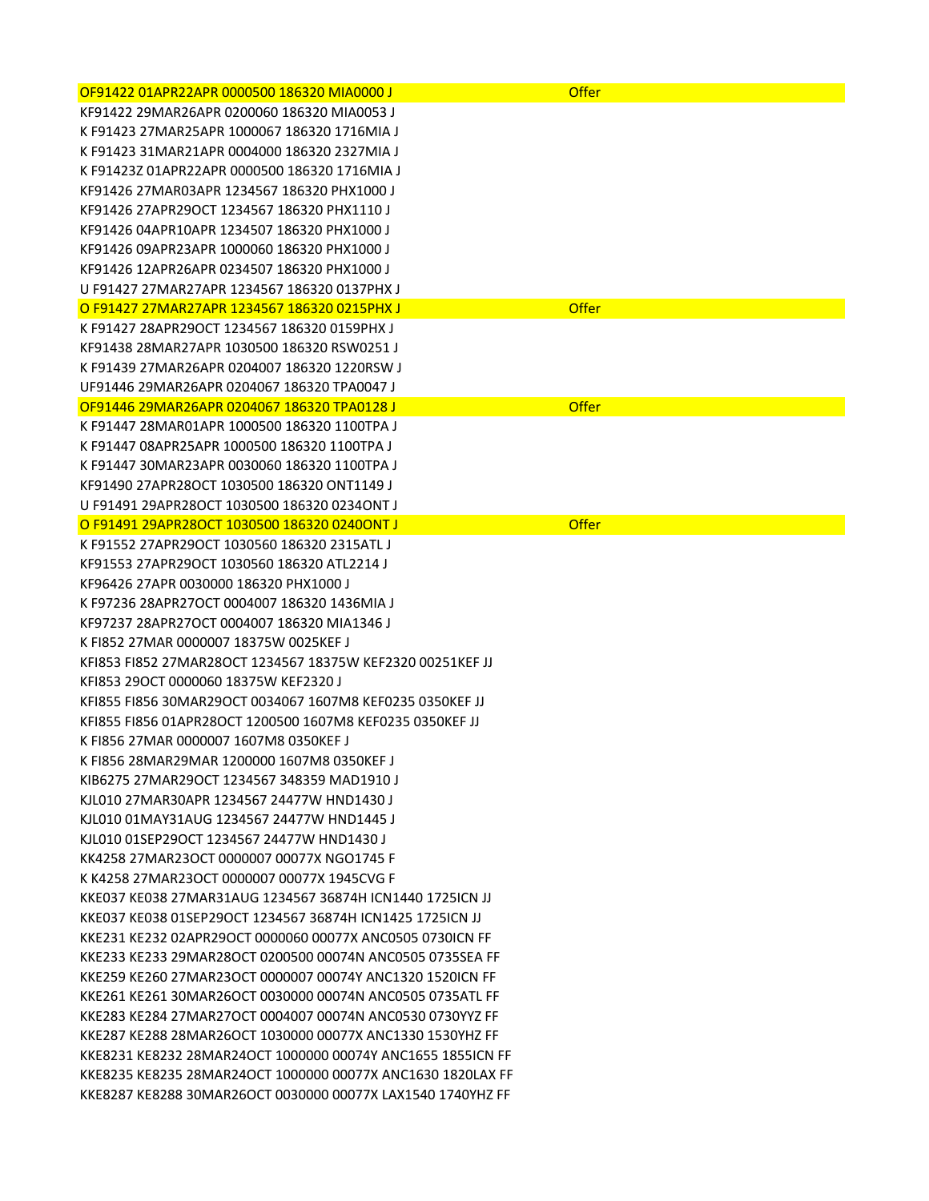| OF91422 01APR22APR 0000500 186320 MIA0000 J                 | <b>Offer</b> |
|-------------------------------------------------------------|--------------|
| KF91422 29MAR26APR 0200060 186320 MIA0053 J                 |              |
| K F91423 27MAR25APR 1000067 186320 1716MIA J                |              |
| K F91423 31MAR21APR 0004000 186320 2327MIA J                |              |
| K F91423Z 01APR22APR 0000500 186320 1716MIA J               |              |
| KF91426 27MAR03APR 1234567 186320 PHX1000 J                 |              |
| KF91426 27APR29OCT 1234567 186320 PHX1110 J                 |              |
| KF91426 04APR10APR 1234507 186320 PHX1000 J                 |              |
| KF91426 09APR23APR 1000060 186320 PHX1000 J                 |              |
| KF91426 12APR26APR 0234507 186320 PHX1000 J                 |              |
| U F91427 27MAR27APR 1234567 186320 0137PHX J                |              |
| O F91427 27MAR27APR 1234567 186320 0215PHX J                | <b>Offer</b> |
| K F91427 28APR29OCT 1234567 186320 0159PHX J                |              |
| KF91438 28MAR27APR 1030500 186320 RSW0251 J                 |              |
| K F91439 27MAR26APR 0204007 186320 1220RSW J                |              |
| UF91446 29MAR26APR 0204067 186320 TPA0047 J                 |              |
| OF91446 29MAR26APR 0204067 186320 TPA0128 J                 | <b>Offer</b> |
| K F91447 28MAR01APR 1000500 186320 1100TPA J                |              |
| K F91447 08APR25APR 1000500 186320 1100TPA J                |              |
| K F91447 30MAR23APR 0030060 186320 1100TPA J                |              |
| KF91490 27APR28OCT 1030500 186320 ONT1149 J                 |              |
| U F91491 29APR28OCT 1030500 186320 0234ONT J                |              |
| O F91491 29APR28OCT 1030500 186320 0240ONT J                | <b>Offer</b> |
| K F91552 27APR29OCT 1030560 186320 2315ATL J                |              |
| KF91553 27APR29OCT 1030560 186320 ATL2214 J                 |              |
| KF96426 27APR 0030000 186320 PHX1000 J                      |              |
| K F97236 28APR27OCT 0004007 186320 1436MIA J                |              |
| KF97237 28APR27OCT 0004007 186320 MIA1346 J                 |              |
| K FI852 27MAR 0000007 18375W 0025KEF J                      |              |
| KFI853 FI852 27MAR28OCT 1234567 18375W KEF2320 00251KEF JJ  |              |
| KFI853 29OCT 0000060 18375W KEF2320 J                       |              |
| KFI855 FI856 30MAR29OCT 0034067 1607M8 KEF0235 0350KEF JJ   |              |
| KFI855 FI856 01APR28OCT 1200500 1607M8 KEF0235 0350KEF JJ   |              |
| K FI856 27MAR 0000007 1607M8 0350KEF J                      |              |
| K FI856 28MAR29MAR 1200000 1607M8 0350KEF J                 |              |
| KIB6275 27MAR29OCT 1234567 348359 MAD1910 J                 |              |
| KJL010 27MAR30APR 1234567 24477W HND1430 J                  |              |
| KJL010 01MAY31AUG 1234567 24477W HND1445 J                  |              |
| KJL010 01SEP29OCT 1234567 24477W HND1430 J                  |              |
| KK4258 27MAR23OCT 0000007 00077X NGO1745 F                  |              |
| K K4258 27MAR23OCT 0000007 00077X 1945CVG F                 |              |
| KKE037 KE038 27MAR31AUG 1234567 36874H ICN1440 1725ICN JJ   |              |
| KKE037 KE038 01SEP29OCT 1234567 36874H ICN1425 1725ICN JJ   |              |
| KKE231 KE232 02APR29OCT 0000060 00077X ANC0505 0730ICN FF   |              |
| KKE233 KE233 29MAR28OCT 0200500 00074N ANC0505 0735SEA FF   |              |
| KKE259 KE260 27MAR23OCT 0000007 00074Y ANC1320 1520ICN FF   |              |
| KKE261 KE261 30MAR26OCT 0030000 00074N ANC0505 0735ATL FF   |              |
| KKE283 KE284 27MAR27OCT 0004007 00074N ANC0530 0730YYZ FF   |              |
| KKE287 KE288 28MAR26OCT 1030000 00077X ANC1330 1530YHZ FF   |              |
| KKE8231 KE8232 28MAR24OCT 1000000 00074Y ANC1655 1855ICN FF |              |
| KKE8235 KE8235 28MAR24OCT 1000000 00077X ANC1630 1820LAX FF |              |
| KKE8287 KE8288 30MAR26OCT 0030000 00077X LAX1540 1740YHZ FF |              |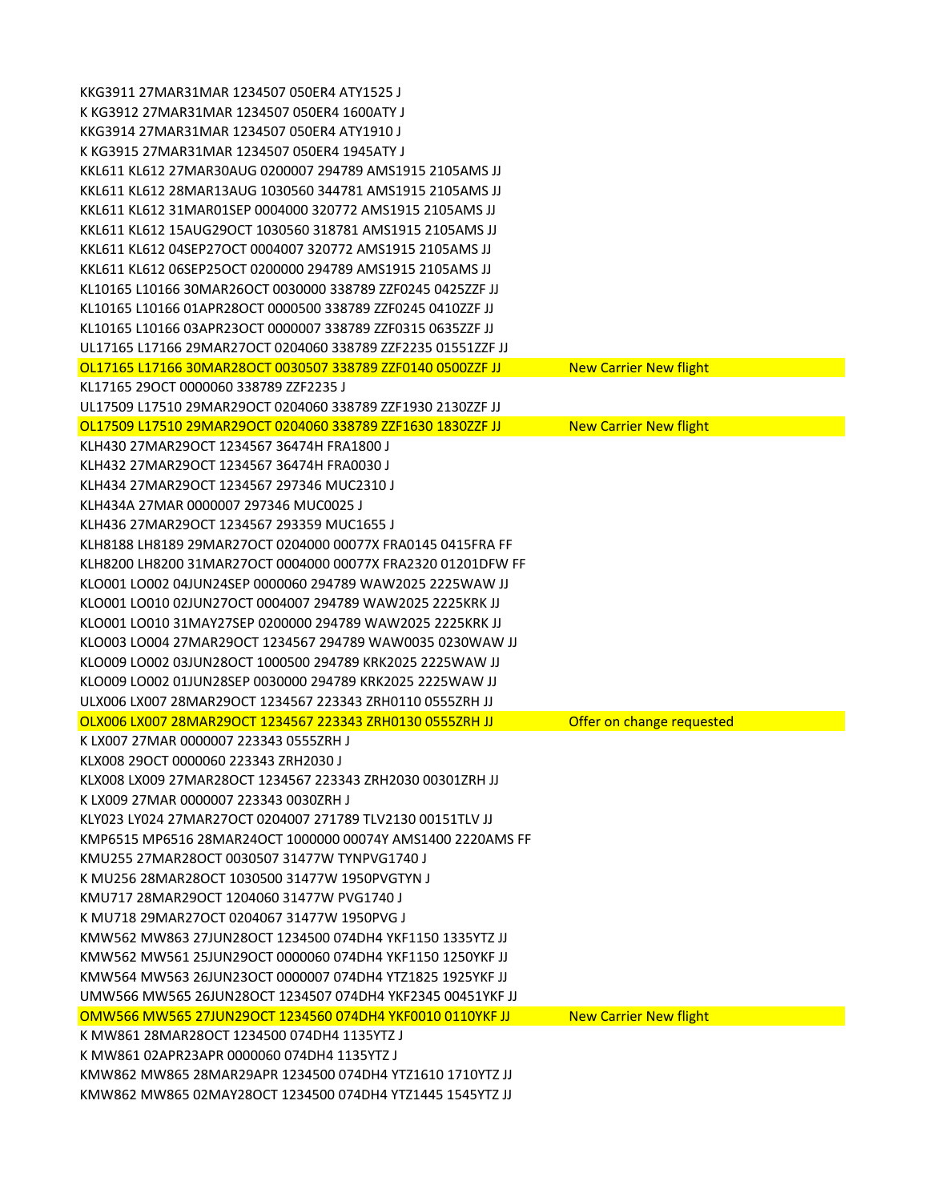| KKG3911 27MAR31MAR 1234507 050ER4 ATY1525 J                  |                               |
|--------------------------------------------------------------|-------------------------------|
| K KG3912 27MAR31MAR 1234507 050ER4 1600ATY J                 |                               |
| KKG3914 27MAR31MAR 1234507 050ER4 ATY1910 J                  |                               |
| K KG3915 27MAR31MAR 1234507 050ER4 1945ATY J                 |                               |
| KKL611 KL612 27MAR30AUG 0200007 294789 AMS1915 2105AMS JJ    |                               |
| KKL611 KL612 28MAR13AUG 1030560 344781 AMS1915 2105AMS JJ    |                               |
| KKL611 KL612 31MAR01SEP 0004000 320772 AMS1915 2105AMS JJ    |                               |
| KKL611 KL612 15AUG29OCT 1030560 318781 AMS1915 2105AMS JJ    |                               |
| KKL611 KL612 04SEP27OCT 0004007 320772 AMS1915 2105AMS JJ    |                               |
| KKL611 KL612 06SEP25OCT 0200000 294789 AMS1915 2105AMS JJ    |                               |
| KL10165 L10166 30MAR26OCT 0030000 338789 ZZF0245 0425ZZF JJ  |                               |
| KL10165 L10166 01APR28OCT 0000500 338789 ZZF0245 0410ZZF JJ  |                               |
| KL10165 L10166 03APR23OCT 0000007 338789 ZZF0315 0635ZZF JJ  |                               |
| UL17165 L17166 29MAR27OCT 0204060 338789 ZZF2235 01551ZZF JJ |                               |
| OL17165 L17166 30MAR28OCT 0030507 338789 ZZF0140 0500ZZF JJ  | <b>New Carrier New flight</b> |
| KL17165 29OCT 0000060 338789 ZZF2235 J                       |                               |
| UL17509 L17510 29MAR29OCT 0204060 338789 ZZF1930 2130ZZF JJ  |                               |
| OL17509 L17510 29MAR29OCT 0204060 338789 ZZF1630 1830ZZF JJ  | <b>New Carrier New flight</b> |
| KLH430 27MAR29OCT 1234567 36474H FRA1800 J                   |                               |
| KLH432 27MAR29OCT 1234567 36474H FRA0030 J                   |                               |
| KLH434 27MAR29OCT 1234567 297346 MUC2310 J                   |                               |
| KLH434A 27MAR 0000007 297346 MUC0025 J                       |                               |
| KLH436 27MAR29OCT 1234567 293359 MUC1655 J                   |                               |
| KLH8188 LH8189 29MAR27OCT 0204000 00077X FRA0145 0415FRA FF  |                               |
| KLH8200 LH8200 31MAR27OCT 0004000 00077X FRA2320 01201DFW FF |                               |
| KLO001 LO002 04JUN24SEP 0000060 294789 WAW2025 2225WAW JJ    |                               |
| KLO001 LO010 02JUN27OCT 0004007 294789 WAW2025 2225KRK JJ    |                               |
| KLO001 LO010 31MAY27SEP 0200000 294789 WAW2025 2225KRK JJ    |                               |
| KLO003 LO004 27MAR29OCT 1234567 294789 WAW0035 0230WAW JJ    |                               |
| KLO009 LO002 03JUN28OCT 1000500 294789 KRK2025 2225WAW JJ    |                               |
| KLO009 LO002 01JUN28SEP 0030000 294789 KRK2025 2225WAW JJ    |                               |
| ULX006 LX007 28MAR29OCT 1234567 223343 ZRH0110 0555ZRH JJ    |                               |
| OLX006 LX007 28MAR29OCT 1234567 223343 ZRH0130 0555ZRH JJ    | Offer on change requested     |
| K LX007 27MAR 0000007 223343 0555ZRH J                       |                               |
| KLX008 29OCT 0000060 223343 ZRH2030 J                        |                               |
| KLX008 LX009 27MAR28OCT 1234567 223343 ZRH2030 00301ZRH JJ   |                               |
| K LX009 27MAR 0000007 223343 0030ZRH J                       |                               |
| KLY023 LY024 27MAR27OCT 0204007 271789 TLV2130 00151TLV JJ   |                               |
| KMP6515 MP6516 28MAR24OCT 1000000 00074Y AMS1400 2220AMS FF  |                               |
| KMU255 27MAR28OCT 0030507 31477W TYNPVG1740 J                |                               |
| K MU256 28MAR28OCT 1030500 31477W 1950PVGTYN J               |                               |
| KMU717 28MAR29OCT 1204060 31477W PVG1740 J                   |                               |
| K MU718 29MAR27OCT 0204067 31477W 1950PVG J                  |                               |
| KMW562 MW863 27JUN28OCT 1234500 074DH4 YKF1150 1335YTZ JJ    |                               |
| KMW562 MW561 25JUN29OCT 0000060 074DH4 YKF1150 1250YKF JJ    |                               |
| KMW564 MW563 26JUN23OCT 0000007 074DH4 YTZ1825 1925YKF JJ    |                               |
| UMW566 MW565 26JUN28OCT 1234507 074DH4 YKF2345 00451YKF JJ   |                               |
| OMW566 MW565 27JUN29OCT 1234560 074DH4 YKF0010 0110YKF JJ    | <b>New Carrier New flight</b> |
| K MW861 28MAR28OCT 1234500 074DH4 1135YTZ J                  |                               |
| K MW861 02APR23APR 0000060 074DH4 1135YTZ J                  |                               |
| KMW862 MW865 28MAR29APR 1234500 074DH4 YTZ1610 1710YTZ JJ    |                               |
| KMW862 MW865 02MAY28OCT 1234500 074DH4 YTZ1445 1545YTZ JJ    |                               |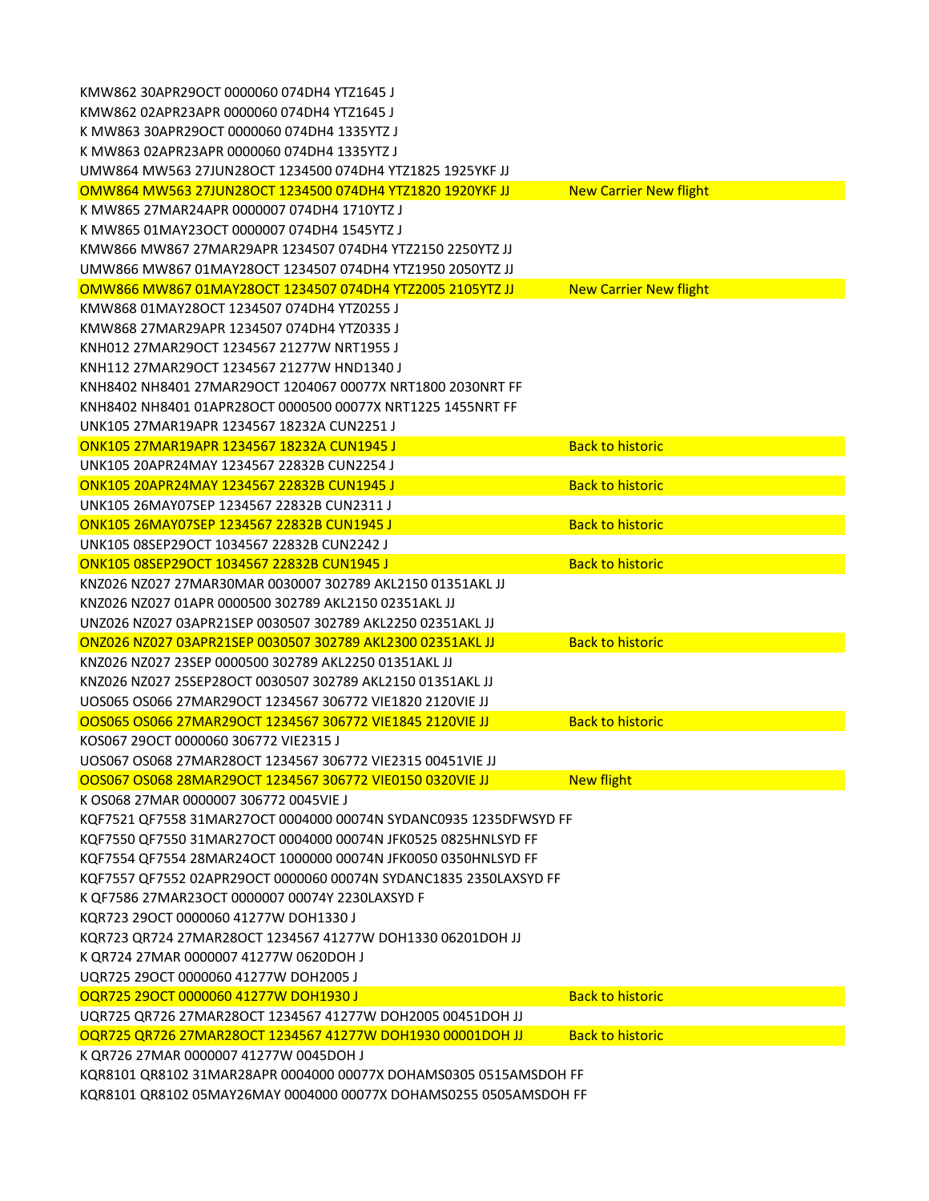| KMW862 30APR29OCT 0000060 074DH4 YTZ1645 J                        |                               |
|-------------------------------------------------------------------|-------------------------------|
| KMW862 02APR23APR 0000060 074DH4 YTZ1645 J                        |                               |
| K MW863 30APR29OCT 0000060 074DH4 1335YTZ J                       |                               |
| K MW863 02APR23APR 0000060 074DH4 1335YTZ J                       |                               |
| UMW864 MW563 27JUN28OCT 1234500 074DH4 YTZ1825 1925YKF JJ         |                               |
| OMW864 MW563 27JUN28OCT 1234500 074DH4 YTZ1820 1920YKF JJ         | <b>New Carrier New flight</b> |
| K MW865 27MAR24APR 0000007 074DH4 1710YTZ J                       |                               |
| K MW865 01MAY23OCT 0000007 074DH4 1545YTZ J                       |                               |
| KMW866 MW867 27MAR29APR 1234507 074DH4 YTZ2150 2250YTZ JJ         |                               |
| UMW866 MW867 01MAY28OCT 1234507 074DH4 YTZ1950 2050YTZ JJ         |                               |
| OMW866 MW867 01MAY28OCT 1234507 074DH4 YTZ2005 2105YTZ JJ         | <b>New Carrier New flight</b> |
| KMW868 01MAY28OCT 1234507 074DH4 YTZ0255 J                        |                               |
| KMW868 27MAR29APR 1234507 074DH4 YTZ0335 J                        |                               |
| KNH012 27MAR29OCT 1234567 21277W NRT1955 J                        |                               |
| KNH112 27MAR29OCT 1234567 21277W HND1340 J                        |                               |
| KNH8402 NH8401 27MAR29OCT 1204067 00077X NRT1800 2030NRT FF       |                               |
| KNH8402 NH8401 01APR28OCT 0000500 00077X NRT1225 1455NRT FF       |                               |
| UNK105 27MAR19APR 1234567 18232A CUN2251 J                        |                               |
| ONK105 27MAR19APR 1234567 18232A CUN1945 J                        | <b>Back to historic</b>       |
| UNK105 20APR24MAY 1234567 22832B CUN2254 J                        |                               |
| ONK105 20APR24MAY 1234567 22832B CUN1945 J                        | <b>Back to historic</b>       |
| UNK105 26MAY07SEP 1234567 22832B CUN2311 J                        |                               |
| ONK105 26MAY07SEP 1234567 22832B CUN1945 J                        | <b>Back to historic</b>       |
| UNK105 08SEP29OCT 1034567 22832B CUN2242 J                        |                               |
| ONK105 08SEP29OCT 1034567 22832B CUN1945 J                        | <b>Back to historic</b>       |
| KNZ026 NZ027 27MAR30MAR 0030007 302789 AKL2150 01351AKL JJ        |                               |
| KNZ026 NZ027 01APR 0000500 302789 AKL2150 02351AKL JJ             |                               |
| UNZ026 NZ027 03APR21SEP 0030507 302789 AKL2250 02351AKL JJ        |                               |
| ONZ026 NZ027 03APR21SEP 0030507 302789 AKL2300 02351AKL JJ        | <b>Back to historic</b>       |
| KNZ026 NZ027 23SEP 0000500 302789 AKL2250 01351AKL JJ             |                               |
| KNZ026 NZ027 25SEP28OCT 0030507 302789 AKL2150 01351AKL JJ        |                               |
| UOS065 OS066 27MAR29OCT 1234567 306772 VIE1820 2120VIE JJ         |                               |
| OOS065 OS066 27MAR29OCT 1234567 306772 VIE1845 2120VIE JJ         | <b>Back to historic</b>       |
| KOS067 29OCT 0000060 306772 VIE2315 J                             |                               |
| UOS067 OS068 27MAR28OCT 1234567 306772 VIE2315 00451VIE JJ        |                               |
| OOS067 OS068 28MAR29OCT 1234567 306772 VIE0150 0320VIE JJ         | <b>New flight</b>             |
| K OS068 27MAR 0000007 306772 0045VIE J                            |                               |
| KQF7521 QF7558 31MAR27OCT 0004000 00074N SYDANC0935 1235DFWSYD FF |                               |
| KQF7550 QF7550 31MAR27OCT 0004000 00074N JFK0525 0825HNLSYD FF    |                               |
| KQF7554 QF7554 28MAR24OCT 1000000 00074N JFK0050 0350HNLSYD FF    |                               |
| KQF7557 QF7552 02APR29OCT 0000060 00074N SYDANC1835 2350LAXSYD FF |                               |
| K QF7586 27MAR23OCT 0000007 00074Y 2230LAXSYD F                   |                               |
| KQR723 29OCT 0000060 41277W DOH1330 J                             |                               |
| KQR723 QR724 27MAR28OCT 1234567 41277W DOH1330 06201DOH JJ        |                               |
| K QR724 27MAR 0000007 41277W 0620DOH J                            |                               |
| UQR725 290CT 0000060 41277W DOH2005 J                             |                               |
| OQR725 29OCT 0000060 41277W DOH1930 J                             | <b>Back to historic</b>       |
| UQR725 QR726 27MAR28OCT 1234567 41277W DOH2005 00451DOH JJ        |                               |
| OQR725 QR726 27MAR28OCT 1234567 41277W DOH1930 00001DOH JJ        | <b>Back to historic</b>       |
| K QR726 27MAR 0000007 41277W 0045DOH J                            |                               |
| KQR8101 QR8102 31MAR28APR 0004000 00077X DOHAMS0305 0515AMSDOH FF |                               |
| KQR8101 QR8102 05MAY26MAY 0004000 00077X DOHAMS0255 0505AMSDOH FF |                               |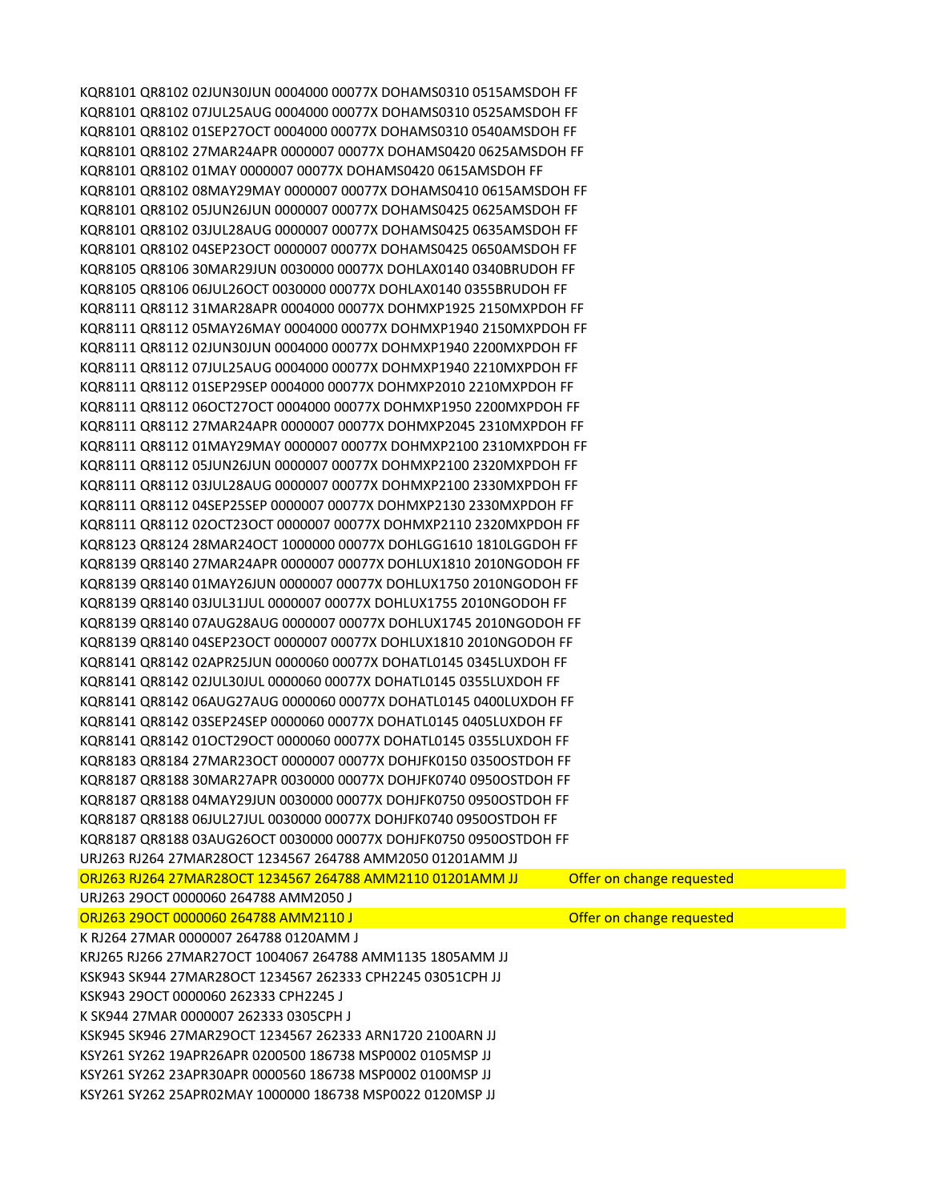| ORJ263 29OCT 0000060 264788 AMM2110 J<br>K RJ264 27MAR 0000007 264788 0120AMM J<br>KRJ265 RJ266 27MAR27OCT 1004067 264788 AMM1135 1805AMM JJ<br>KSK943 SK944 27MAR28OCT 1234567 262333 CPH2245 03051CPH JJ<br>KSK943 29OCT 0000060 262333 CPH2245 J<br>K SK944 27MAR 0000007 262333 0305CPH J<br>KSK945 SK946 27MAR29OCT 1234567 262333 ARN1720 2100ARN JJ<br>KSY261 SY262 19APR26APR 0200500 186738 MSP0002 0105MSP JJ<br>KSY261 SY262 23APR30APR 0000560 186738 MSP0002 0100MSP JJ | Offer on change requested |  |
|--------------------------------------------------------------------------------------------------------------------------------------------------------------------------------------------------------------------------------------------------------------------------------------------------------------------------------------------------------------------------------------------------------------------------------------------------------------------------------------|---------------------------|--|
|                                                                                                                                                                                                                                                                                                                                                                                                                                                                                      |                           |  |
|                                                                                                                                                                                                                                                                                                                                                                                                                                                                                      |                           |  |
|                                                                                                                                                                                                                                                                                                                                                                                                                                                                                      |                           |  |
|                                                                                                                                                                                                                                                                                                                                                                                                                                                                                      |                           |  |
|                                                                                                                                                                                                                                                                                                                                                                                                                                                                                      |                           |  |
|                                                                                                                                                                                                                                                                                                                                                                                                                                                                                      |                           |  |
|                                                                                                                                                                                                                                                                                                                                                                                                                                                                                      |                           |  |
|                                                                                                                                                                                                                                                                                                                                                                                                                                                                                      |                           |  |
|                                                                                                                                                                                                                                                                                                                                                                                                                                                                                      |                           |  |
| URJ263 29OCT 0000060 264788 AMM2050 J                                                                                                                                                                                                                                                                                                                                                                                                                                                |                           |  |
| ORJ263 RJ264 27MAR28OCT 1234567 264788 AMM2110 01201AMM JJ                                                                                                                                                                                                                                                                                                                                                                                                                           | Offer on change requested |  |
| URJ263 RJ264 27MAR28OCT 1234567 264788 AMM2050 01201AMM JJ                                                                                                                                                                                                                                                                                                                                                                                                                           |                           |  |
| KQR8187 QR8188 03AUG26OCT 0030000 00077X DOHJFK0750 0950OSTDOH FF                                                                                                                                                                                                                                                                                                                                                                                                                    |                           |  |
| KQR8187 QR8188 06JUL27JUL 0030000 00077X DOHJFK0740 0950OSTDOH FF                                                                                                                                                                                                                                                                                                                                                                                                                    |                           |  |
| KQR8187 QR8188 04MAY29JUN 0030000 00077X DOHJFK0750 0950OSTDOH FF                                                                                                                                                                                                                                                                                                                                                                                                                    |                           |  |
| KQR8187 QR8188 30MAR27APR 0030000 00077X DOHJFK0740 0950OSTDOH FF                                                                                                                                                                                                                                                                                                                                                                                                                    |                           |  |
| KQR8183 QR8184 27MAR23OCT 0000007 00077X DOHJFK0150 0350OSTDOH FF                                                                                                                                                                                                                                                                                                                                                                                                                    |                           |  |
| KQR8141 QR8142 01OCT29OCT 0000060 00077X DOHATL0145 0355LUXDOH FF                                                                                                                                                                                                                                                                                                                                                                                                                    |                           |  |
| KQR8141 QR8142 03SEP24SEP 0000060 00077X DOHATL0145 0405LUXDOH FF                                                                                                                                                                                                                                                                                                                                                                                                                    |                           |  |
| KQR8141 QR8142 06AUG27AUG 0000060 00077X DOHATL0145 0400LUXDOH FF                                                                                                                                                                                                                                                                                                                                                                                                                    |                           |  |
|                                                                                                                                                                                                                                                                                                                                                                                                                                                                                      |                           |  |
| KQR8141 QR8142 02JUL30JUL 0000060 00077X DOHATL0145 0355LUXDOH FF                                                                                                                                                                                                                                                                                                                                                                                                                    |                           |  |
| KQR8141 QR8142 02APR25JUN 0000060 00077X DOHATL0145 0345LUXDOH FF                                                                                                                                                                                                                                                                                                                                                                                                                    |                           |  |
| KQR8139 QR8140 04SEP23OCT 0000007 00077X DOHLUX1810 2010NGODOH FF                                                                                                                                                                                                                                                                                                                                                                                                                    |                           |  |
| KQR8139 QR8140 07AUG28AUG 0000007 00077X DOHLUX1745 2010NGODOH FF                                                                                                                                                                                                                                                                                                                                                                                                                    |                           |  |
| KQR8139 QR8140 03JUL31JUL 0000007 00077X DOHLUX1755 2010NGODOH FF                                                                                                                                                                                                                                                                                                                                                                                                                    |                           |  |
| KQR8139 QR8140 01MAY26JUN 0000007 00077X DOHLUX1750 2010NGODOH FF                                                                                                                                                                                                                                                                                                                                                                                                                    |                           |  |
| KQR8139 QR8140 27MAR24APR 0000007 00077X DOHLUX1810 2010NGODOH FF                                                                                                                                                                                                                                                                                                                                                                                                                    |                           |  |
| KQR8123 QR8124 28MAR24OCT 1000000 00077X DOHLGG1610 1810LGGDOH FF                                                                                                                                                                                                                                                                                                                                                                                                                    |                           |  |
| KQR8111 QR8112 02OCT23OCT 0000007 00077X DOHMXP2110 2320MXPDOH FF                                                                                                                                                                                                                                                                                                                                                                                                                    |                           |  |
| KQR8111 QR8112 04SEP25SEP 0000007 00077X DOHMXP2130 2330MXPDOH FF                                                                                                                                                                                                                                                                                                                                                                                                                    |                           |  |
| KQR8111 QR8112 03JUL28AUG 0000007 00077X DOHMXP2100 2330MXPDOH FF                                                                                                                                                                                                                                                                                                                                                                                                                    |                           |  |
| KQR8111 QR8112 05JUN26JUN 0000007 00077X DOHMXP2100 2320MXPDOH FF                                                                                                                                                                                                                                                                                                                                                                                                                    |                           |  |
| KQR8111 QR8112 01MAY29MAY 0000007 00077X DOHMXP2100 2310MXPDOH FF                                                                                                                                                                                                                                                                                                                                                                                                                    |                           |  |
| KQR8111 QR8112 27MAR24APR 0000007 00077X DOHMXP2045 2310MXPDOH FF                                                                                                                                                                                                                                                                                                                                                                                                                    |                           |  |
| KQR8111 QR8112 06OCT27OCT 0004000 00077X DOHMXP1950 2200MXPDOH FF                                                                                                                                                                                                                                                                                                                                                                                                                    |                           |  |
| KQR8111 QR8112 01SEP29SEP 0004000 00077X DOHMXP2010 2210MXPDOH FF                                                                                                                                                                                                                                                                                                                                                                                                                    |                           |  |
| KQR8111 QR8112 07JUL25AUG 0004000 00077X DOHMXP1940 2210MXPDOH FF                                                                                                                                                                                                                                                                                                                                                                                                                    |                           |  |
| KQR8111 QR8112 02JUN30JUN 0004000 00077X DOHMXP1940 2200MXPDOH FF                                                                                                                                                                                                                                                                                                                                                                                                                    |                           |  |
| KOR8111 OR8112 05MAY26MAY 0004000 00077X DOHMXP1940 2150MXPDOH FF                                                                                                                                                                                                                                                                                                                                                                                                                    |                           |  |
| KQR8111 QR8112 31MAR28APR 0004000 00077X DOHMXP1925 2150MXPDOH FF                                                                                                                                                                                                                                                                                                                                                                                                                    |                           |  |
| KOR8105 QR8106 06JUL26OCT 0030000 00077X DOHLAX0140 0355BRUDOH FF                                                                                                                                                                                                                                                                                                                                                                                                                    |                           |  |
|                                                                                                                                                                                                                                                                                                                                                                                                                                                                                      |                           |  |
| KQR8105 QR8106 30MAR29JUN 0030000 00077X DOHLAX0140 0340BRUDOH FF                                                                                                                                                                                                                                                                                                                                                                                                                    |                           |  |
| KQR8101 QR8102 04SEP23OCT 0000007 00077X DOHAMS0425 0650AMSDOH FF                                                                                                                                                                                                                                                                                                                                                                                                                    |                           |  |
| KQR8101 QR8102 03JUL28AUG 0000007 00077X DOHAMS0425 0635AMSDOH FF                                                                                                                                                                                                                                                                                                                                                                                                                    |                           |  |
| KQR8101 QR8102 05JUN26JUN 0000007 00077X DOHAMS0425 0625AMSDOH FF                                                                                                                                                                                                                                                                                                                                                                                                                    |                           |  |
| KOR8101 QR8102 08MAY29MAY 0000007 00077X DOHAMS0410 0615AMSDOH FF                                                                                                                                                                                                                                                                                                                                                                                                                    |                           |  |
| KOR8101 QR8102 01MAY 0000007 00077X DOHAMS0420 0615AMSDOH FF                                                                                                                                                                                                                                                                                                                                                                                                                         |                           |  |
| KQR8101 QR8102 27MAR24APR 0000007 00077X DOHAMS0420 0625AMSDOH FF                                                                                                                                                                                                                                                                                                                                                                                                                    |                           |  |
| KQR8101 QR8102 01SEP27OCT 0004000 00077X DOHAMS0310 0540AMSDOH FF                                                                                                                                                                                                                                                                                                                                                                                                                    |                           |  |
| KQR8101 QR8102 07JUL25AUG 0004000 00077X DOHAMS0310 0525AMSDOH FF                                                                                                                                                                                                                                                                                                                                                                                                                    |                           |  |
| KOR8101 QR8102 02JUN30JUN 0004000 00077X DOHAMS0310 0515AMSDOH FF                                                                                                                                                                                                                                                                                                                                                                                                                    |                           |  |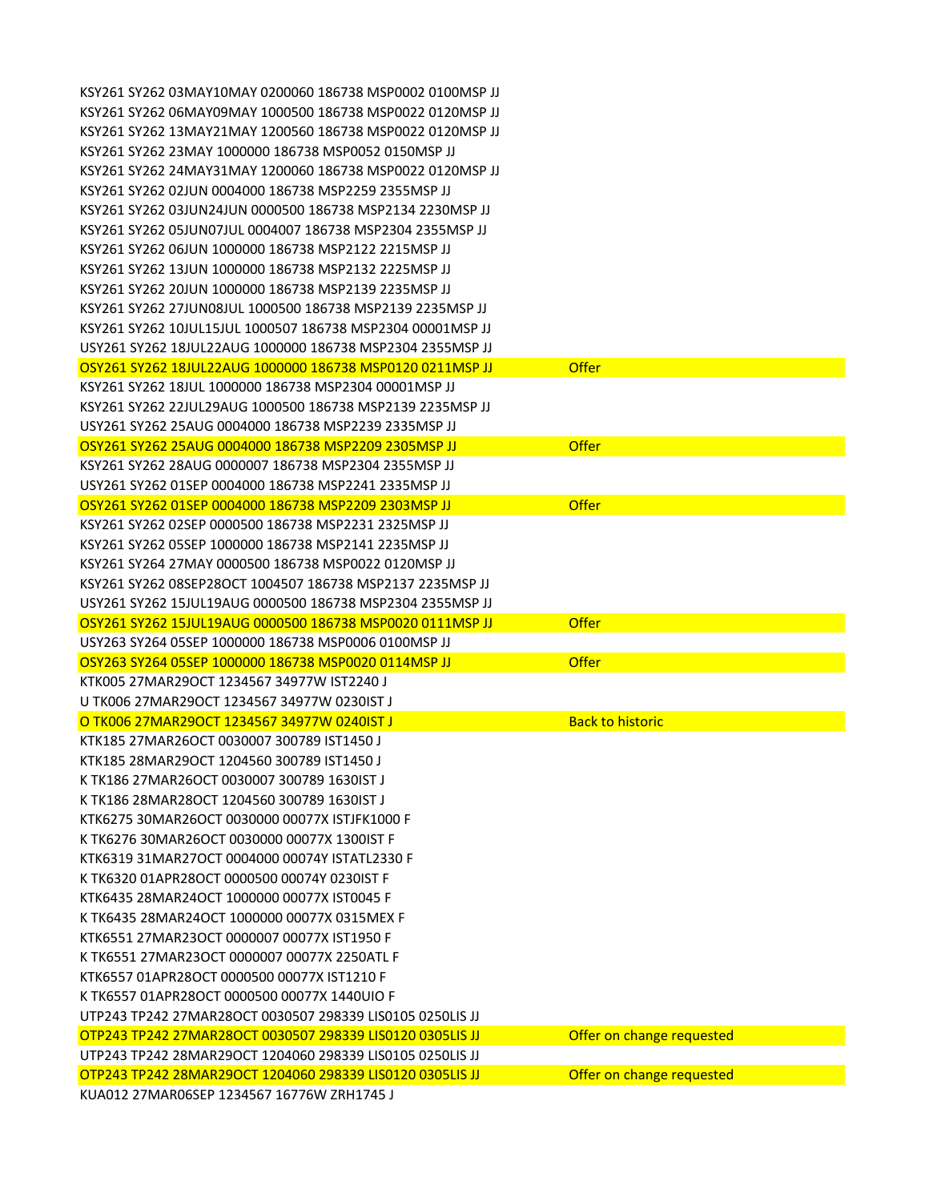| KSY261 SY262 03MAY10MAY 0200060 186738 MSP0002 0100MSP JJ                                               |                           |
|---------------------------------------------------------------------------------------------------------|---------------------------|
| KSY261 SY262 06MAY09MAY 1000500 186738 MSP0022 0120MSP JJ                                               |                           |
| KSY261 SY262 13MAY21MAY 1200560 186738 MSP0022 0120MSP JJ                                               |                           |
| KSY261 SY262 23MAY 1000000 186738 MSP0052 0150MSP JJ                                                    |                           |
| KSY261 SY262 24MAY31MAY 1200060 186738 MSP0022 0120MSP JJ                                               |                           |
| KSY261 SY262 02JUN 0004000 186738 MSP2259 2355MSP JJ                                                    |                           |
| KSY261 SY262 03JUN24JUN 0000500 186738 MSP2134 2230MSP JJ                                               |                           |
| KSY261 SY262 05JUN07JUL 0004007 186738 MSP2304 2355MSP JJ                                               |                           |
| KSY261 SY262 06JUN 1000000 186738 MSP2122 2215MSP JJ                                                    |                           |
| KSY261 SY262 13JUN 1000000 186738 MSP2132 2225MSP JJ                                                    |                           |
| KSY261 SY262 20JUN 1000000 186738 MSP2139 2235MSP JJ                                                    |                           |
| KSY261 SY262 27JUN08JUL 1000500 186738 MSP2139 2235MSP JJ                                               |                           |
| KSY261 SY262 10JUL15JUL 1000507 186738 MSP2304 00001MSP JJ                                              |                           |
| USY261 SY262 18JUL22AUG 1000000 186738 MSP2304 2355MSP JJ                                               |                           |
| OSY261 SY262 18JUL22AUG 1000000 186738 MSP0120 0211MSP JJ                                               | <b>Offer</b>              |
| KSY261 SY262 18JUL 1000000 186738 MSP2304 00001MSP JJ                                                   |                           |
| KSY261 SY262 22JUL29AUG 1000500 186738 MSP2139 2235MSP JJ                                               |                           |
| USY261 SY262 25AUG 0004000 186738 MSP2239 2335MSP JJ                                                    |                           |
| OSY261 SY262 25AUG 0004000 186738 MSP2209 2305MSP JJ                                                    | <b>Offer</b>              |
| KSY261 SY262 28AUG 0000007 186738 MSP2304 2355MSP JJ                                                    |                           |
| USY261 SY262 01SEP 0004000 186738 MSP2241 2335MSP JJ                                                    |                           |
| OSY261 SY262 01SEP 0004000 186738 MSP2209 2303MSP JJ                                                    | <b>Offer</b>              |
| KSY261 SY262 02SEP 0000500 186738 MSP2231 2325MSP JJ                                                    |                           |
| KSY261 SY262 05SEP 1000000 186738 MSP2141 2235MSP JJ                                                    |                           |
| KSY261 SY264 27MAY 0000500 186738 MSP0022 0120MSP JJ                                                    |                           |
| KSY261 SY262 08SEP28OCT 1004507 186738 MSP2137 2235MSP JJ                                               |                           |
|                                                                                                         |                           |
| USY261 SY262 15JUL19AUG 0000500 186738 MSP2304 2355MSP JJ                                               |                           |
| OSY261 SY262 15JUL19AUG 0000500 186738 MSP0020 0111MSP JJ                                               | <b>Offer</b>              |
| USY263 SY264 05SEP 1000000 186738 MSP0006 0100MSP U                                                     |                           |
| OSY263 SY264 05SEP 1000000 186738 MSP0020 0114MSP JJ                                                    | <b>Offer</b>              |
| KTK005 27MAR29OCT 1234567 34977W IST2240 J                                                              |                           |
| U TK006 27MAR29OCT 1234567 34977W 0230IST J                                                             |                           |
| O TK006 27MAR29OCT 1234567 34977W 0240IST J                                                             | <b>Back to historic</b>   |
| KTK185 27MAR26OCT 0030007 300789 IST1450 J                                                              |                           |
| KTK185 28MAR29OCT 1204560 300789 IST1450 J                                                              |                           |
| K TK186 27MAR26OCT 0030007 300789 1630IST J                                                             |                           |
| K TK186 28MAR28OCT 1204560 300789 1630IST J                                                             |                           |
| KTK6275 30MAR26OCT 0030000 00077X ISTJFK1000 F                                                          |                           |
| K TK6276 30MAR26OCT 0030000 00077X 1300IST F                                                            |                           |
| KTK6319 31MAR27OCT 0004000 00074Y ISTATL2330 F                                                          |                           |
| K TK6320 01APR28OCT 0000500 00074Y 0230IST F                                                            |                           |
| KTK6435 28MAR24OCT 1000000 00077X IST0045 F                                                             |                           |
| K TK6435 28MAR24OCT 1000000 00077X 0315MEX F                                                            |                           |
| KTK6551 27MAR23OCT 0000007 00077X IST1950 F                                                             |                           |
| K TK6551 27MAR23OCT 0000007 00077X 2250ATL F                                                            |                           |
| KTK6557 01APR28OCT 0000500 00077X IST1210 F                                                             |                           |
| K TK6557 01APR28OCT 0000500 00077X 1440UIO F                                                            |                           |
| UTP243 TP242 27MAR28OCT 0030507 298339 LIS0105 0250LIS JJ                                               |                           |
| OTP243 TP242 27MAR28OCT 0030507 298339 LIS0120 0305LIS JJ                                               | Offer on change requested |
| UTP243 TP242 28MAR29OCT 1204060 298339 LIS0105 0250LIS JJ                                               |                           |
| OTP243 TP242 28MAR29OCT 1204060 298339 LIS0120 0305LIS JJ<br>KUA012 27MAR06SEP 1234567 16776W ZRH1745 J | Offer on change requested |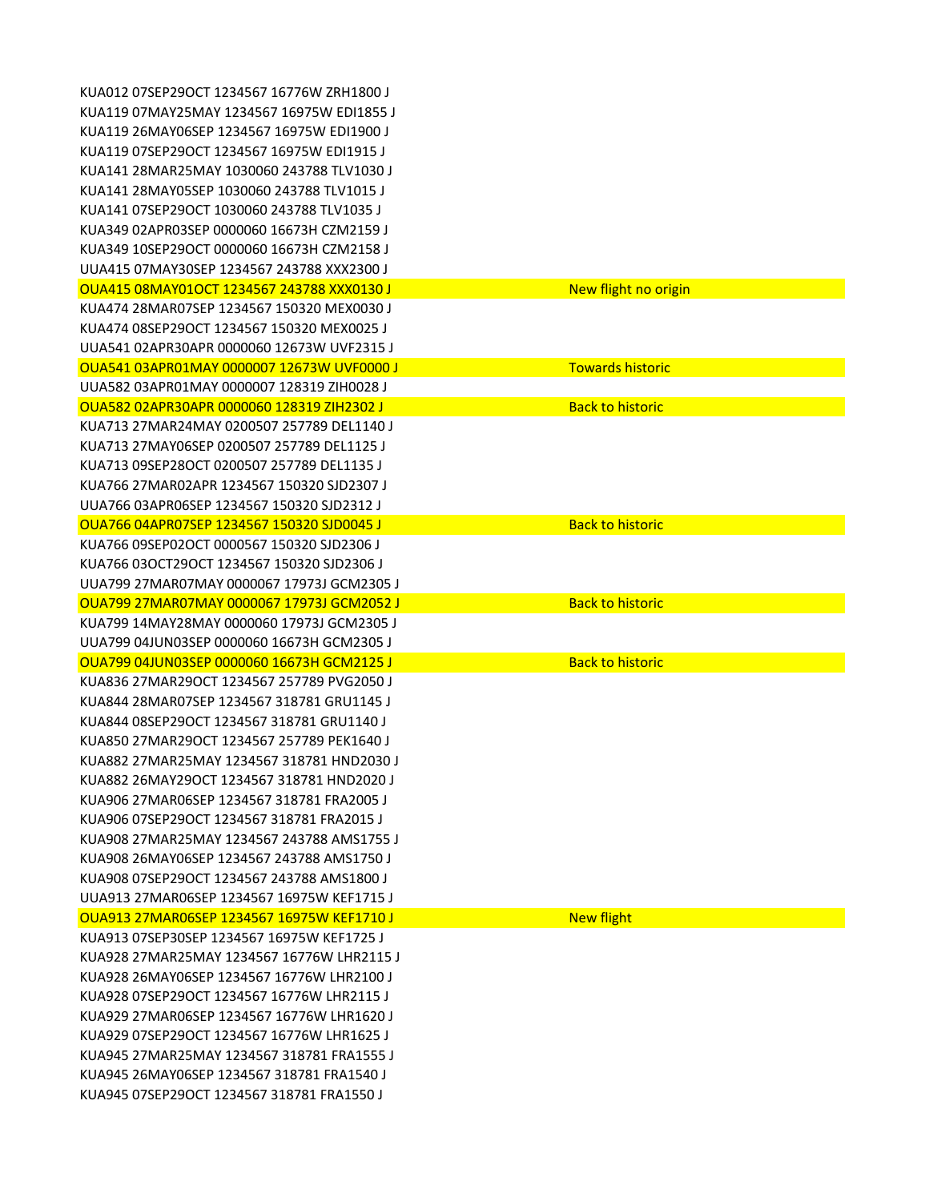KUA012 07SEP29OCT 1234567 16776W ZRH1800 J KUA119 07MAY25MAY 1234567 16975W EDI1855 J KUA119 26MAY06SEP 1234567 16975W EDI1900 J KUA119 07SEP29OCT 1234567 16975W EDI1915 J KUA141 28MAR25MAY 1030060 243788 TLV1030 J KUA141 28MAY05SEP 1030060 243788 TLV1015 J KUA141 07SEP29OCT 1030060 243788 TLV1035 J KUA349 02APR03SEP 0000060 16673H CZM2159 J KUA349 10SEP29OCT 0000060 16673H CZM2158 J UUA415 07MAY30SEP 1234567 243788 XXX2300 J OUA415 08MAY01OCT 1234567 243788 XXX0130 J New flight no origin KUA474 28MAR07SEP 1234567 150320 MEX0030 J KUA474 08SEP29OCT 1234567 150320 MEX0025 J UUA541 02APR30APR 0000060 12673W UVF2315 J OUA541 03APR01MAY 0000007 12673W UVF0000 J TOWATH TOWARDS historic UUA582 03APR01MAY 0000007 128319 ZIH0028 J OUA582 02APR30APR 0000060 128319 ZIH2302 J Back to historic Back to historic KUA713 27MAR24MAY 0200507 257789 DEL1140 J KUA713 27MAY06SEP 0200507 257789 DEL1125 J KUA713 09SEP28OCT 0200507 257789 DEL1135 J KUA766 27MAR02APR 1234567 150320 SJD2307 J UUA766 03APR06SEP 1234567 150320 SJD2312 J OUA766 04APR07SEP 1234567 150320 SJD0045 J Back to historic Back to historic KUA766 09SEP02OCT 0000567 150320 SJD2306 J KUA766 03OCT29OCT 1234567 150320 SJD2306 J UUA799 27MAR07MAY 0000067 17973J GCM2305 J OUA799 27MAR07MAY 0000067 17973J GCM2052 J Back to historic KUA799 14MAY28MAY 0000060 17973J GCM2305 J UUA799 04JUN03SEP 0000060 16673H GCM2305 J OUA799 04JUN03SEP 0000060 16673H GCM2125 J Back to historic Back to historic KUA836 27MAR29OCT 1234567 257789 PVG2050 J KUA844 28MAR07SEP 1234567 318781 GRU1145 J KUA844 08SEP29OCT 1234567 318781 GRU1140 J KUA850 27MAR29OCT 1234567 257789 PEK1640 J KUA882 27MAR25MAY 1234567 318781 HND2030 J KUA882 26MAY29OCT 1234567 318781 HND2020 J KUA906 27MAR06SEP 1234567 318781 FRA2005 J KUA906 07SEP29OCT 1234567 318781 FRA2015 J KUA908 27MAR25MAY 1234567 243788 AMS1755 J KUA908 26MAY06SEP 1234567 243788 AMS1750 J KUA908 07SEP29OCT 1234567 243788 AMS1800 J UUA913 27MAR06SEP 1234567 16975W KEF1715 J OUA913 27MAR06SEP 1234567 16975W KEF1710 J New flight KUA913 07SEP30SEP 1234567 16975W KEF1725 J KUA928 27MAR25MAY 1234567 16776W LHR2115 J KUA928 26MAY06SEP 1234567 16776W LHR2100 J KUA928 07SEP29OCT 1234567 16776W LHR2115 J KUA929 27MAR06SEP 1234567 16776W LHR1620 J KUA929 07SEP29OCT 1234567 16776W LHR1625 J KUA945 27MAR25MAY 1234567 318781 FRA1555 J KUA945 26MAY06SEP 1234567 318781 FRA1540 J KUA945 07SEP29OCT 1234567 318781 FRA1550 J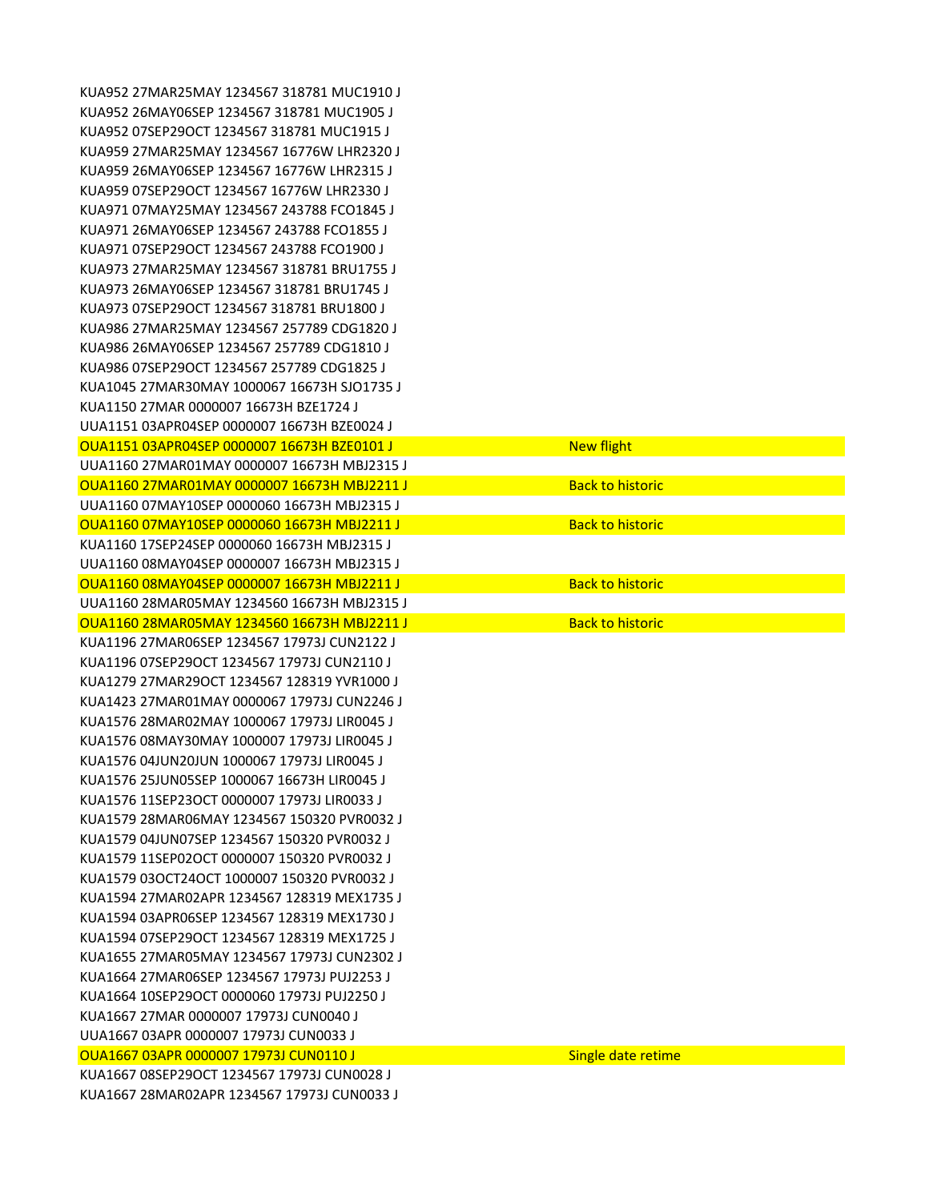KUA952 27MAR25MAY 1234567 318781 MUC1910 J KUA952 26MAY06SEP 1234567 318781 MUC1905 J KUA952 07SEP29OCT 1234567 318781 MUC1915 J KUA959 27MAR25MAY 1234567 16776W LHR2320 J KUA959 26MAY06SEP 1234567 16776W LHR2315 J KUA959 07SEP29OCT 1234567 16776W LHR2330 J KUA971 07MAY25MAY 1234567 243788 FCO1845 J KUA971 26MAY06SEP 1234567 243788 FCO1855 J KUA971 07SEP29OCT 1234567 243788 FCO1900 J KUA973 27MAR25MAY 1234567 318781 BRU1755 J KUA973 26MAY06SEP 1234567 318781 BRU1745 J KUA973 07SEP29OCT 1234567 318781 BRU1800 J KUA986 27MAR25MAY 1234567 257789 CDG1820 J KUA986 26MAY06SEP 1234567 257789 CDG1810 J KUA986 07SEP29OCT 1234567 257789 CDG1825 J KUA1045 27MAR30MAY 1000067 16673H SJO1735 J KUA1150 27MAR 0000007 16673H BZE1724 J UUA1151 03APR04SEP 0000007 16673H BZE0024 J OUA1151 03APR04SEP 0000007 16673H BZE0101 J UUA1160 27MAR01MAY 0000007 16673H MBJ2315 J OUA1160 27MAR01MAY 0000007 16673H MBJ2211 J UUA1160 07MAY10SEP 0000060 16673H MBJ2315 J OUA1160 07MAY10SEP 0000060 16673H MBJ2211 J KUA1160 17SEP24SEP 0000060 16673H MBJ2315 J UUA1160 08MAY04SEP 0000007 16673H MBJ2315 J OUA1160 08MAY04SEP 0000007 16673H MBJ2211 J UUA1160 28MAR05MAY 1234560 16673H MBJ2315 J OUA1160 28MAR05MAY 1234560 16673H MBJ2211 J KUA1196 27MAR06SEP 1234567 17973J CUN2122 J KUA1196 07SEP29OCT 1234567 17973J CUN2110 J KUA1279 27MAR29OCT 1234567 128319 YVR1000 J KUA1423 27MAR01MAY 0000067 17973J CUN2246 J KUA1576 28MAR02MAY 1000067 17973J LIR0045 J KUA1576 08MAY30MAY 1000007 17973J LIR0045 J KUA1576 04JUN20JUN 1000067 17973J LIR0045 J KUA1576 25JUN05SEP 1000067 16673H LIR0045 J KUA1576 11SEP23OCT 0000007 17973J LIR0033 J KUA1579 28MAR06MAY 1234567 150320 PVR0032 J KUA1579 04JUN07SEP 1234567 150320 PVR0032 J KUA1579 11SEP02OCT 0000007 150320 PVR0032 J KUA1579 03OCT24OCT 1000007 150320 PVR0032 J KUA1594 27MAR02APR 1234567 128319 MEX1735 J KUA1594 03APR06SEP 1234567 128319 MEX1730 J KUA1594 07SEP29OCT 1234567 128319 MEX1725 J KUA1655 27MAR05MAY 1234567 17973J CUN2302 J KUA1664 27MAR06SEP 1234567 17973J PUJ2253 J KUA1664 10SEP29OCT 0000060 17973J PUJ2250 J KUA1667 27MAR 0000007 17973J CUN0040 J UUA1667 03APR 0000007 17973J CUN0033 J OUA1667 03APR 0000007 17973J CUN0110 J Single date retime KUA1667 08SEP29OCT 1234567 17973J CUN0028 J KUA1667 28MAR02APR 1234567 17973J CUN0033 J

| <b>New flight</b>       |
|-------------------------|
|                         |
| <b>Back to historic</b> |
|                         |
| <b>Back to historic</b> |
|                         |
|                         |
| <b>Back to historic</b> |
|                         |
| <b>Back to historic</b> |
|                         |
|                         |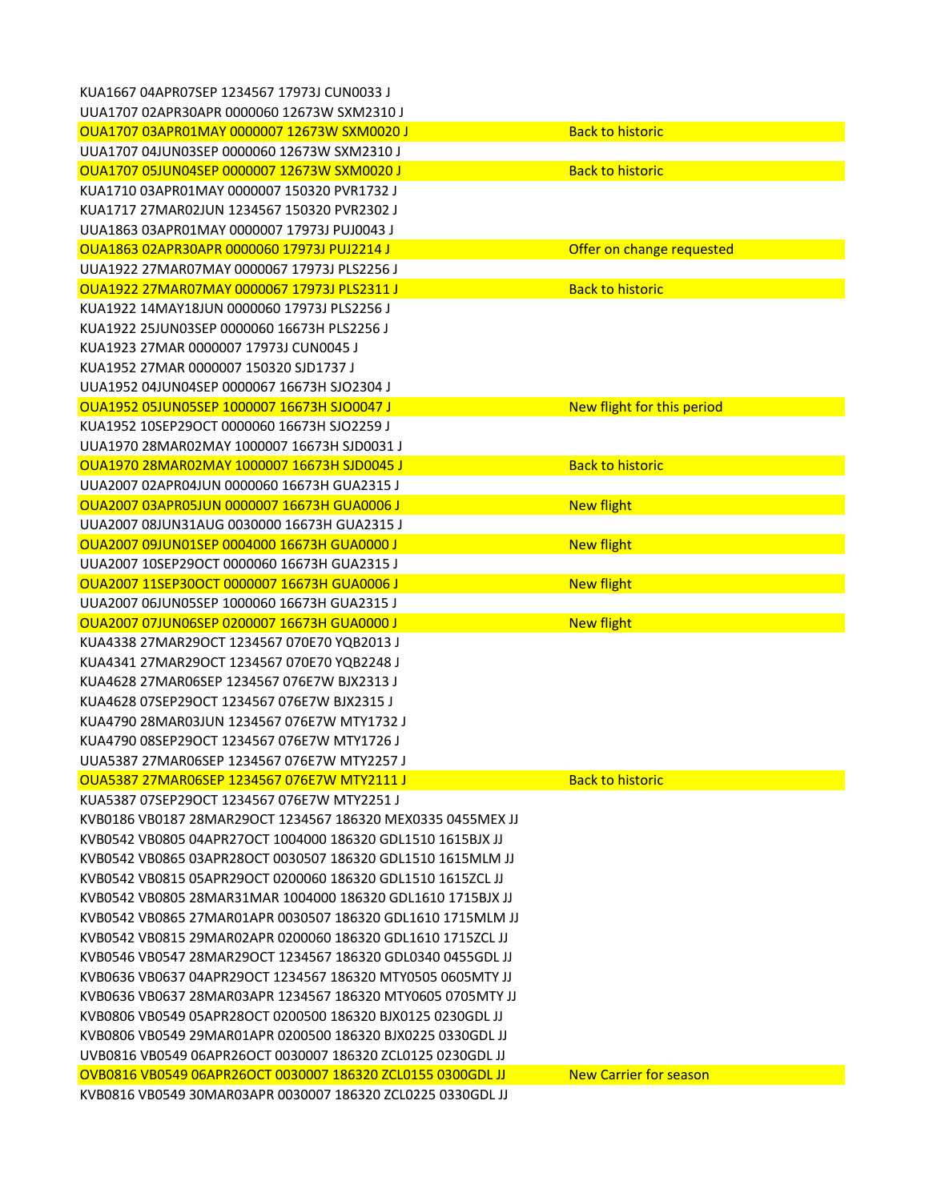| KUA1667 04APR07SEP 1234567 17973J CUN0033 J                 |                               |
|-------------------------------------------------------------|-------------------------------|
| UUA1707 02APR30APR 0000060 12673W SXM2310 J                 |                               |
| OUA1707 03APR01MAY 0000007 12673W SXM0020 J                 | <b>Back to historic</b>       |
| UUA1707 04JUN03SEP 0000060 12673W SXM2310 J                 |                               |
| OUA1707 05JUN04SEP 0000007 12673W SXM0020 J                 | <b>Back to historic</b>       |
| KUA1710 03APR01MAY 0000007 150320 PVR1732 J                 |                               |
| KUA1717 27MAR02JUN 1234567 150320 PVR2302 J                 |                               |
| UUA1863 03APR01MAY 0000007 17973J PUJ0043 J                 |                               |
| OUA1863 02APR30APR 0000060 17973J PUJ2214 J                 | Offer on change requested     |
| UUA1922 27MAR07MAY 0000067 17973J PLS2256 J                 |                               |
| OUA1922 27MAR07MAY 0000067 17973J PLS2311 J                 | <b>Back to historic</b>       |
| KUA1922 14MAY18JUN 0000060 17973J PLS2256 J                 |                               |
| KUA1922 25JUN03SEP 0000060 16673H PLS2256 J                 |                               |
| KUA1923 27MAR 0000007 17973J CUN0045 J                      |                               |
| KUA1952 27MAR 0000007 150320 SJD1737 J                      |                               |
| UUA1952 04JUN04SEP 0000067 16673H SJO2304 J                 |                               |
| OUA1952 05JUN05SEP 1000007 16673H SJO0047 J                 | New flight for this period    |
| KUA1952 10SEP29OCT 0000060 16673H SJO2259 J                 |                               |
| UUA1970 28MAR02MAY 1000007 16673H SJD0031 J                 |                               |
| OUA1970 28MAR02MAY 1000007 16673H SJD0045 J                 | <b>Back to historic</b>       |
| UUA2007 02APR04JUN 0000060 16673H GUA2315 J                 |                               |
| OUA2007 03APR05JUN 0000007 16673H GUA0006 J                 | <b>New flight</b>             |
| UUA2007 08JUN31AUG 0030000 16673H GUA2315 J                 |                               |
| OUA2007 09JUN01SEP 0004000 16673H GUA0000 J                 | <b>New flight</b>             |
| UUA2007 10SEP29OCT 0000060 16673H GUA2315 J                 |                               |
| OUA2007 11SEP30OCT 0000007 16673H GUA0006 J                 | <b>New flight</b>             |
| UUA2007 06JUN05SEP 1000060 16673H GUA2315 J                 |                               |
| OUA2007 07JUN06SEP 0200007 16673H GUA0000 J                 | <b>New flight</b>             |
| KUA4338 27MAR29OCT 1234567 070E70 YQB2013 J                 |                               |
| KUA4341 27MAR29OCT 1234567 070E70 YQB2248 J                 |                               |
| KUA4628 27MAR06SEP 1234567 076E7W BJX2313 J                 |                               |
| KUA4628 07SEP29OCT 1234567 076E7W BJX2315 J                 |                               |
| KUA4790 28MAR03JUN 1234567 076E7W MTY1732 J                 |                               |
| KUA4790 08SEP29OCT 1234567 076E7W MTY1726 J                 |                               |
| UUA5387 27MAR06SEP 1234567 076E7W MTY2257 J                 |                               |
| OUA5387 27MAR06SEP 1234567 076E7W MTY2111 J                 | <b>Back to historic</b>       |
| KUA5387 07SEP29OCT 1234567 076E7W MTY2251 J                 |                               |
| KVB0186 VB0187 28MAR29OCT 1234567 186320 MEX0335 0455MEX JJ |                               |
| KVB0542 VB0805 04APR27OCT 1004000 186320 GDL1510 1615BJX JJ |                               |
| KVB0542 VB0865 03APR28OCT 0030507 186320 GDL1510 1615MLM JJ |                               |
| KVB0542 VB0815 05APR29OCT 0200060 186320 GDL1510 1615ZCL JJ |                               |
| KVB0542 VB0805 28MAR31MAR 1004000 186320 GDL1610 1715BJX JJ |                               |
| KVB0542 VB0865 27MAR01APR 0030507 186320 GDL1610 1715MLM JJ |                               |
| KVB0542 VB0815 29MAR02APR 0200060 186320 GDL1610 1715ZCL JJ |                               |
| KVB0546 VB0547 28MAR29OCT 1234567 186320 GDL0340 0455GDL JJ |                               |
| KVB0636 VB0637 04APR29OCT 1234567 186320 MTY0505 0605MTY JJ |                               |
| KVB0636 VB0637 28MAR03APR 1234567 186320 MTY0605 0705MTY JJ |                               |
| KVB0806 VB0549 05APR28OCT 0200500 186320 BJX0125 0230GDL JJ |                               |
| KVB0806 VB0549 29MAR01APR 0200500 186320 BJX0225 0330GDL JJ |                               |
| UVB0816 VB0549 06APR26OCT 0030007 186320 ZCL0125 0230GDL JJ |                               |
| OVB0816 VB0549 06APR26OCT 0030007 186320 ZCL0155 0300GDL JJ | <b>New Carrier for season</b> |
| KVB0816 VB0549 30MAR03APR 0030007 186320 ZCL0225 0330GDL JJ |                               |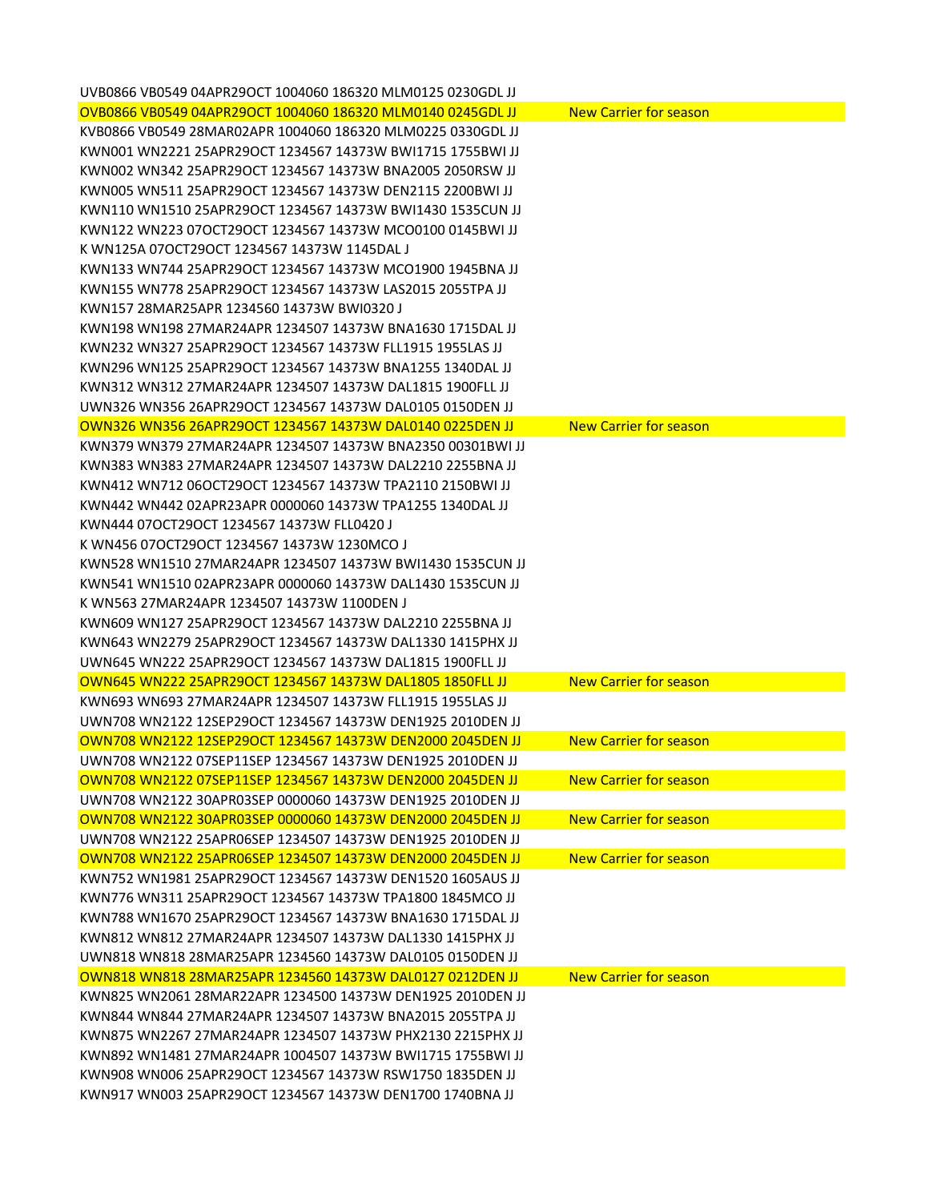| UVB0866 VB0549 04APR29OCT 1004060 186320 MLM0125 0230GDL JJ |                               |
|-------------------------------------------------------------|-------------------------------|
| OVB0866 VB0549 04APR29OCT 1004060 186320 MLM0140 0245GDL JJ | <b>New Carrier for season</b> |
| KVB0866 VB0549 28MAR02APR 1004060 186320 MLM0225 0330GDL JJ |                               |
| KWN001 WN2221 25APR29OCT 1234567 14373W BWI1715 1755BWI JJ  |                               |
| KWN002 WN342 25APR29OCT 1234567 14373W BNA2005 2050RSW JJ   |                               |
| KWN005 WN511 25APR29OCT 1234567 14373W DEN2115 2200BWI JJ   |                               |
| KWN110 WN1510 25APR29OCT 1234567 14373W BWI1430 1535CUN JJ  |                               |
| KWN122 WN223 07OCT29OCT 1234567 14373W MCO0100 0145BWLJJ    |                               |
| K WN125A 07OCT29OCT 1234567 14373W 1145DAL J                |                               |
| KWN133 WN744 25APR29OCT 1234567 14373W MCO1900 1945BNA JJ   |                               |
| KWN155 WN778 25APR29OCT 1234567 14373W LAS2015 2055TPA JJ   |                               |
| KWN157 28MAR25APR 1234560 14373W BWI0320 J                  |                               |
| KWN198 WN198 27MAR24APR 1234507 14373W BNA1630 1715DAL JJ   |                               |
| KWN232 WN327 25APR29OCT 1234567 14373W FLL1915 1955LAS JJ   |                               |
| KWN296 WN125 25APR29OCT 1234567 14373W BNA1255 1340DAL JJ   |                               |
| KWN312 WN312 27MAR24APR 1234507 14373W DAL1815 1900FLL JJ   |                               |
| UWN326 WN356 26APR29OCT 1234567 14373W DAL0105 0150DEN JJ   |                               |
| OWN326 WN356 26APR29OCT 1234567 14373W DAL0140 0225DEN JJ   | <b>New Carrier for season</b> |
| KWN379 WN379 27MAR24APR 1234507 14373W BNA2350 00301BWI JJ  |                               |
| KWN383 WN383 27MAR24APR 1234507 14373W DAL2210 2255BNA JJ   |                               |
| KWN412 WN712 06OCT29OCT 1234567 14373W TPA2110 2150BWI JJ   |                               |
| KWN442 WN442 02APR23APR 0000060 14373W TPA1255 1340DAL JJ   |                               |
| KWN444 07OCT29OCT 1234567 14373W FLL0420 J                  |                               |
| K WN456 07OCT29OCT 1234567 14373W 1230MCO J                 |                               |
| KWN528 WN1510 27MAR24APR 1234507 14373W BWI1430 1535CUN JJ  |                               |
| KWN541 WN1510 02APR23APR 0000060 14373W DAL1430 1535CUN JJ  |                               |
| K WN563 27MAR24APR 1234507 14373W 1100DEN J                 |                               |
| KWN609 WN127 25APR29OCT 1234567 14373W DAL2210 2255BNA JJ   |                               |
| KWN643 WN2279 25APR29OCT 1234567 14373W DAL1330 1415PHX JJ  |                               |
| UWN645 WN222 25APR29OCT 1234567 14373W DAL1815 1900FLL JJ   |                               |
| OWN645 WN222 25APR29OCT 1234567 14373W DAL1805 1850FLL JJ   | <b>New Carrier for season</b> |
| KWN693 WN693 27MAR24APR 1234507 14373W FLL1915 1955LAS JJ   |                               |
| UWN708 WN2122 12SEP29OCT 1234567 14373W DEN1925 2010DEN JJ  |                               |
| OWN708 WN2122 12SEP29OCT 1234567 14373W DEN2000 2045DEN JJ  | <b>New Carrier for season</b> |
| UWN708 WN2122 07SEP11SEP 1234567 14373W DEN1925 2010DEN JJ  |                               |
| OWN708 WN2122 07SEP11SEP 1234567 14373W DEN2000 2045DEN JJ  | <b>New Carrier for season</b> |
| UWN708 WN2122 30APR03SEP 0000060 14373W DEN1925 2010DEN JJ  |                               |
| OWN708 WN2122 30APR03SEP 0000060 14373W DEN2000 2045DEN JJ  | <b>New Carrier for season</b> |
|                                                             |                               |
| UWN708 WN2122 25APR06SEP 1234507 14373W DEN1925 2010DEN JJ  |                               |
| OWN708 WN2122 25APR06SEP 1234507 14373W DEN2000 2045DEN JJ  | <b>New Carrier for season</b> |
| KWN752 WN1981 25APR29OCT 1234567 14373W DEN1520 1605AUS JJ  |                               |
| KWN776 WN311 25APR29OCT 1234567 14373W TPA1800 1845MCO JJ   |                               |
| KWN788 WN1670 25APR29OCT 1234567 14373W BNA1630 1715DAL JJ  |                               |
| KWN812 WN812 27MAR24APR 1234507 14373W DAL1330 1415PHX JJ   |                               |
| UWN818 WN818 28MAR25APR 1234560 14373W DAL0105 0150DEN JJ   |                               |
| OWN818 WN818 28MAR25APR 1234560 14373W DAL0127 0212DEN JJ   | <b>New Carrier for season</b> |
| KWN825 WN2061 28MAR22APR 1234500 14373W DEN1925 2010DEN JJ  |                               |
| KWN844 WN844 27MAR24APR 1234507 14373W BNA2015 2055TPA JJ   |                               |
| KWN875 WN2267 27MAR24APR 1234507 14373W PHX2130 2215PHX JJ  |                               |
| KWN892 WN1481 27MAR24APR 1004507 14373W BWI1715 1755BWI JJ  |                               |
| KWN908 WN006 25APR29OCT 1234567 14373W RSW1750 1835DEN JJ   |                               |
| KWN917 WN003 25APR29OCT 1234567 14373W DEN1700 1740BNA JJ   |                               |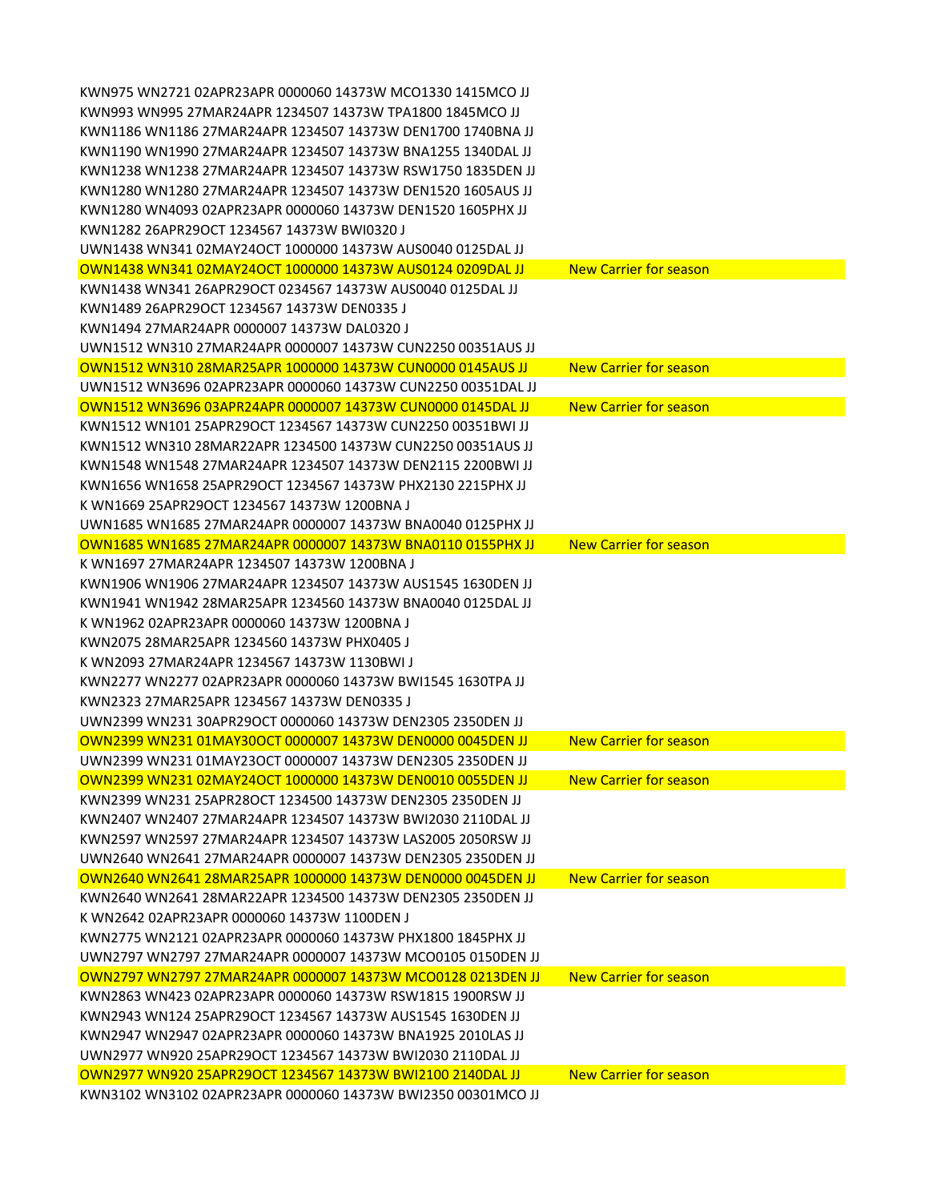| KWN975 WN2721 02APR23APR 0000060 14373W MCO1330 1415MCO JJ   |                               |
|--------------------------------------------------------------|-------------------------------|
| KWN993 WN995 27MAR24APR 1234507 14373W TPA1800 1845MCO JJ    |                               |
| KWN1186 WN1186 27MAR24APR 1234507 14373W DEN1700 1740BNA JJ  |                               |
| KWN1190 WN1990 27MAR24APR 1234507 14373W BNA1255 1340DAL JJ  |                               |
| KWN1238 WN1238 27MAR24APR 1234507 14373W RSW1750 1835DEN JJ  |                               |
| KWN1280 WN1280 27MAR24APR 1234507 14373W DEN1520 1605AUS JJ  |                               |
| KWN1280 WN4093 02APR23APR 0000060 14373W DEN1520 1605PHX JJ  |                               |
| KWN1282 26APR29OCT 1234567 14373W BWI0320 J                  |                               |
| UWN1438 WN341 02MAY24OCT 1000000 14373W AUS0040 0125DAL JJ   |                               |
| OWN1438 WN341 02MAY24OCT 1000000 14373W AUS0124 0209DAL JJ   | <b>New Carrier for season</b> |
| KWN1438 WN341 26APR29OCT 0234567 14373W AUS0040 0125DAL JJ   |                               |
| KWN1489 26APR29OCT 1234567 14373W DEN0335 J                  |                               |
| KWN1494 27MAR24APR 0000007 14373W DAL0320 J                  |                               |
| UWN1512 WN310 27MAR24APR 0000007 14373W CUN2250 00351AUS JJ  |                               |
| OWN1512 WN310 28MAR25APR 1000000 14373W CUN0000 0145AUS JJ   | <b>New Carrier for season</b> |
| UWN1512 WN3696 02APR23APR 0000060 14373W CUN2250 00351DAL JJ |                               |
| OWN1512 WN3696 03APR24APR 0000007 14373W CUN0000 0145DAL JJ  | <b>New Carrier for season</b> |
| KWN1512 WN101 25APR29OCT 1234567 14373W CUN2250 00351BWI JJ  |                               |
| KWN1512 WN310 28MAR22APR 1234500 14373W CUN2250 00351AUS II  |                               |
| KWN1548 WN1548 27MAR24APR 1234507 14373W DEN2115 2200BWI JJ  |                               |
| KWN1656 WN1658 25APR29OCT 1234567 14373W PHX2130 2215PHX JJ  |                               |
| K WN1669 25APR29OCT 1234567 14373W 1200BNA J                 |                               |
| UWN1685 WN1685 27MAR24APR 0000007 14373W BNA0040 0125PHX JJ  |                               |
| OWN1685 WN1685 27MAR24APR 0000007 14373W BNA0110 0155PHX JJ  | <b>New Carrier for season</b> |
| K WN1697 27MAR24APR 1234507 14373W 1200BNA J                 |                               |
| KWN1906 WN1906 27MAR24APR 1234507 14373W AUS1545 1630DEN JJ  |                               |
| KWN1941 WN1942 28MAR25APR 1234560 14373W BNA0040 0125DAL JJ  |                               |
| K WN1962 02APR23APR 0000060 14373W 1200BNA J                 |                               |
| KWN2075 28MAR25APR 1234560 14373W PHX0405 J                  |                               |
| K WN2093 27MAR24APR 1234567 14373W 1130BWLI                  |                               |
| KWN2277 WN2277 02APR23APR 0000060 14373W BWI1545 1630TPA JJ  |                               |
| KWN2323 27MAR25APR 1234567 14373W DEN0335 J                  |                               |
| UWN2399 WN231 30APR29OCT 0000060 14373W DEN2305 2350DEN JJ   |                               |
| OWN2399 WN231 01MAY30OCT 0000007 14373W DEN0000 0045DEN JJ   | <b>New Carrier for season</b> |
| UWN2399 WN231 01MAY23OCT 0000007 14373W DEN2305 2350DEN JJ   |                               |
| OWN2399 WN231 02MAY24OCT 1000000 14373W DEN0010 0055DEN JJ   | <b>New Carrier for season</b> |
| KWN2399 WN231 25APR28OCT 1234500 14373W DEN2305 2350DEN JJ   |                               |
| KWN2407 WN2407 27MAR24APR 1234507 14373W BWI2030 2110DAL JJ  |                               |
| KWN2597 WN2597 27MAR24APR 1234507 14373W LAS2005 2050RSW JJ  |                               |
| UWN2640 WN2641 27MAR24APR 0000007 14373W DEN2305 2350DEN JJ  |                               |
| OWN2640 WN2641 28MAR25APR 1000000 14373W DEN0000 0045DEN JJ  | <b>New Carrier for season</b> |
| KWN2640 WN2641 28MAR22APR 1234500 14373W DEN2305 2350DEN JJ  |                               |
| K WN2642 02APR23APR 0000060 14373W 1100DEN J                 |                               |
| KWN2775 WN2121 02APR23APR 0000060 14373W PHX1800 1845PHX JJ  |                               |
| UWN2797 WN2797 27MAR24APR 0000007 14373W MCO0105 0150DEN JJ  |                               |
| OWN2797 WN2797 27MAR24APR 0000007 14373W MCO0128 0213DEN JJ  | <b>New Carrier for season</b> |
| KWN2863 WN423 02APR23APR 0000060 14373W RSW1815 1900RSW JJ   |                               |
| KWN2943 WN124 25APR29OCT 1234567 14373W AUS1545 1630DEN JJ   |                               |
| KWN2947 WN2947 02APR23APR 0000060 14373W BNA1925 2010LAS JJ  |                               |
| UWN2977 WN920 25APR29OCT 1234567 14373W BWI2030 2110DAL JJ   |                               |
| OWN2977 WN920 25APR29OCT 1234567 14373W BWI2100 2140DAL JJ   | <b>New Carrier for season</b> |
| KWN3102 WN3102 02APR23APR 0000060 14373W BWI2350 00301MCO JJ |                               |